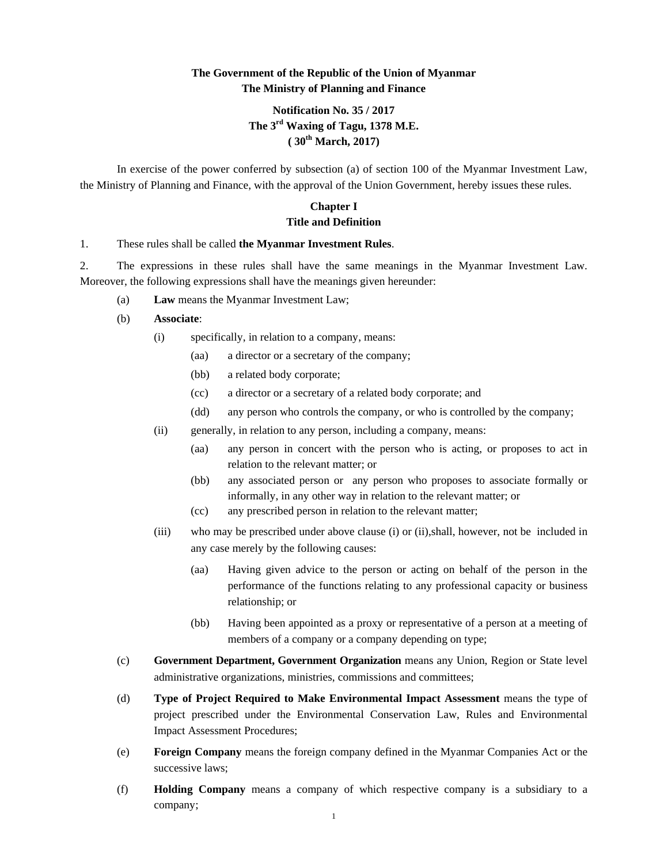# **The Government of the Republic of the Union of Myanmar The Ministry of Planning and Finance**

# **Notification No. 35 / 2017 The 3rd Waxing of Tagu, 1378 M.E. ( 30th March, 2017)**

In exercise of the power conferred by subsection (a) of section 100 of the Myanmar Investment Law, the Ministry of Planning and Finance, with the approval of the Union Government, hereby issues these rules.

## **Chapter I Title and Definition**

#### 1. These rules shall be called **the Myanmar Investment Rules**.

2. The expressions in these rules shall have the same meanings in the Myanmar Investment Law. Moreover, the following expressions shall have the meanings given hereunder:

- (a) **Law** means the Myanmar Investment Law;
- (b) **Associate**:
	- (i) specifically, in relation to a company, means:
		- (aa) a director or a secretary of the company;
		- (bb) a related body corporate;
		- (cc) a director or a secretary of a related body corporate; and
		- (dd) any person who controls the company, or who is controlled by the company;
	- (ii) generally, in relation to any person, including a company, means:
		- (aa) any person in concert with the person who is acting, or proposes to act in relation to the relevant matter; or
		- (bb) any associated person or any person who proposes to associate formally or informally, in any other way in relation to the relevant matter; or
		- (cc) any prescribed person in relation to the relevant matter;
	- (iii) who may be prescribed under above clause (i) or (ii),shall, however, not be included in any case merely by the following causes:
		- (aa) Having given advice to the person or acting on behalf of the person in the performance of the functions relating to any professional capacity or business relationship; or
		- (bb) Having been appointed as a proxy or representative of a person at a meeting of members of a company or a company depending on type;
- (c) **Government Department, Government Organization** means any Union, Region or State level administrative organizations, ministries, commissions and committees;
- (d) **Type of Project Required to Make Environmental Impact Assessment** means the type of project prescribed under the Environmental Conservation Law, Rules and Environmental Impact Assessment Procedures;
- (e) **Foreign Company** means the foreign company defined in the Myanmar Companies Act or the successive laws;
- (f) **Holding Company** means a company of which respective company is a subsidiary to a company;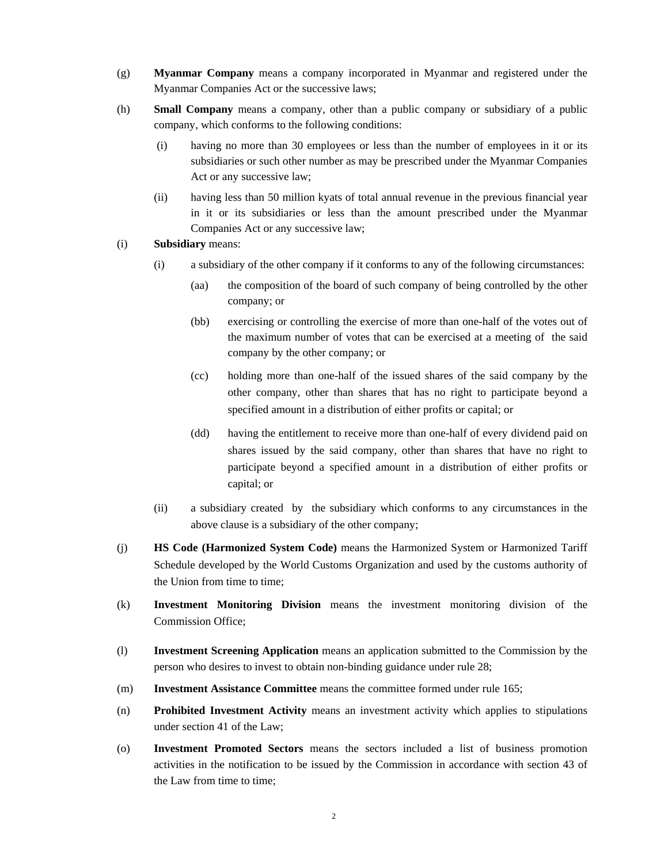- (g) **Myanmar Company** means a company incorporated in Myanmar and registered under the Myanmar Companies Act or the successive laws;
- (h) **Small Company** means a company, other than a public company or subsidiary of a public company, which conforms to the following conditions:
	- (i) having no more than 30 employees or less than the number of employees in it or its subsidiaries or such other number as may be prescribed under the Myanmar Companies Act or any successive law;
	- (ii) having less than 50 million kyats of total annual revenue in the previous financial year in it or its subsidiaries or less than the amount prescribed under the Myanmar Companies Act or any successive law;

#### (i) **Subsidiary** means:

- (i) a subsidiary of the other company if it conforms to any of the following circumstances:
	- (aa) the composition of the board of such company of being controlled by the other company; or
	- (bb) exercising or controlling the exercise of more than one-half of the votes out of the maximum number of votes that can be exercised at a meeting of the said company by the other company; or
	- (cc) holding more than one-half of the issued shares of the said company by the other company, other than shares that has no right to participate beyond a specified amount in a distribution of either profits or capital; or
	- (dd) having the entitlement to receive more than one-half of every dividend paid on shares issued by the said company, other than shares that have no right to participate beyond a specified amount in a distribution of either profits or capital; or
- (ii) a subsidiary created by the subsidiary which conforms to any circumstances in the above clause is a subsidiary of the other company;
- (j) **HS Code (Harmonized System Code)** means the Harmonized System or Harmonized Tariff Schedule developed by the World Customs Organization and used by the customs authority of the Union from time to time;
- (k) **Investment Monitoring Division** means the investment monitoring division of the Commission Office;
- (l) **Investment Screening Application** means an application submitted to the Commission by the person who desires to invest to obtain non-binding guidance under rule 28;
- (m) **Investment Assistance Committee** means the committee formed under rule 165;
- (n) **Prohibited Investment Activity** means an investment activity which applies to stipulations under section 41 of the Law;
- (o) **Investment Promoted Sectors** means the sectors included a list of business promotion activities in the notification to be issued by the Commission in accordance with section 43 of the Law from time to time;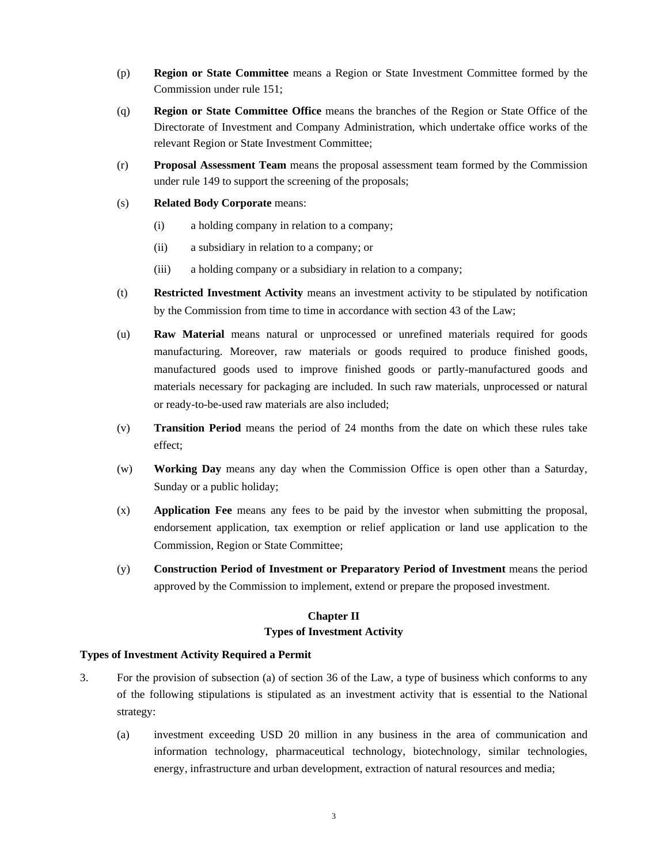- (p) **Region or State Committee** means a Region or State Investment Committee formed by the Commission under rule 151;
- (q) **Region or State Committee Office** means the branches of the Region or State Office of the Directorate of Investment and Company Administration, which undertake office works of the relevant Region or State Investment Committee;
- (r) **Proposal Assessment Team** means the proposal assessment team formed by the Commission under rule 149 to support the screening of the proposals;
- (s) **Related Body Corporate** means:
	- (i) a holding company in relation to a company;
	- (ii) a subsidiary in relation to a company; or
	- (iii) a holding company or a subsidiary in relation to a company;
- (t) **Restricted Investment Activity** means an investment activity to be stipulated by notification by the Commission from time to time in accordance with section 43 of the Law;
- (u) **Raw Material** means natural or unprocessed or unrefined materials required for goods manufacturing. Moreover, raw materials or goods required to produce finished goods, manufactured goods used to improve finished goods or partly-manufactured goods and materials necessary for packaging are included. In such raw materials, unprocessed or natural or ready-to-be-used raw materials are also included;
- (v) **Transition Period** means the period of 24 months from the date on which these rules take effect;
- (w) **Working Day** means any day when the Commission Office is open other than a Saturday, Sunday or a public holiday;
- (x) **Application Fee** means any fees to be paid by the investor when submitting the proposal, endorsement application, tax exemption or relief application or land use application to the Commission, Region or State Committee;
- (y) **Construction Period of Investment or Preparatory Period of Investment** means the period approved by the Commission to implement, extend or prepare the proposed investment.

# **Chapter II Types of Investment Activity**

## **Types of Investment Activity Required a Permit**

- 3. For the provision of subsection (a) of section 36 of the Law, a type of business which conforms to any of the following stipulations is stipulated as an investment activity that is essential to the National strategy:
	- (a) investment exceeding USD 20 million in any business in the area of communication and information technology, pharmaceutical technology, biotechnology, similar technologies, energy, infrastructure and urban development, extraction of natural resources and media;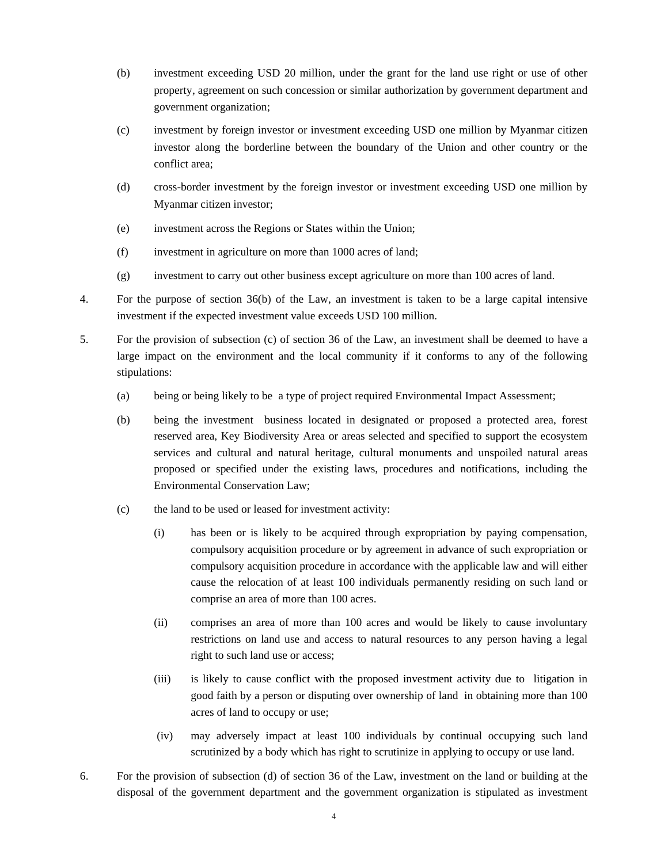- (b) investment exceeding USD 20 million, under the grant for the land use right or use of other property, agreement on such concession or similar authorization by government department and government organization;
- (c) investment by foreign investor or investment exceeding USD one million by Myanmar citizen investor along the borderline between the boundary of the Union and other country or the conflict area;
- (d) cross-border investment by the foreign investor or investment exceeding USD one million by Myanmar citizen investor;
- (e) investment across the Regions or States within the Union;
- (f) investment in agriculture on more than 1000 acres of land;
- (g) investment to carry out other business except agriculture on more than 100 acres of land.
- 4. For the purpose of section 36(b) of the Law, an investment is taken to be a large capital intensive investment if the expected investment value exceeds USD 100 million.
- 5. For the provision of subsection (c) of section 36 of the Law, an investment shall be deemed to have a large impact on the environment and the local community if it conforms to any of the following stipulations:
	- (a) being or being likely to be a type of project required Environmental Impact Assessment;
	- (b) being the investment business located in designated or proposed a protected area, forest reserved area, Key Biodiversity Area or areas selected and specified to support the ecosystem services and cultural and natural heritage, cultural monuments and unspoiled natural areas proposed or specified under the existing laws, procedures and notifications, including the Environmental Conservation Law;
	- (c) the land to be used or leased for investment activity:
		- (i) has been or is likely to be acquired through expropriation by paying compensation, compulsory acquisition procedure or by agreement in advance of such expropriation or compulsory acquisition procedure in accordance with the applicable law and will either cause the relocation of at least 100 individuals permanently residing on such land or comprise an area of more than 100 acres.
		- (ii) comprises an area of more than 100 acres and would be likely to cause involuntary restrictions on land use and access to natural resources to any person having a legal right to such land use or access;
		- (iii) is likely to cause conflict with the proposed investment activity due to litigation in good faith by a person or disputing over ownership of land in obtaining more than 100 acres of land to occupy or use;
		- (iv) may adversely impact at least 100 individuals by continual occupying such land scrutinized by a body which has right to scrutinize in applying to occupy or use land.
- 6. For the provision of subsection (d) of section 36 of the Law, investment on the land or building at the disposal of the government department and the government organization is stipulated as investment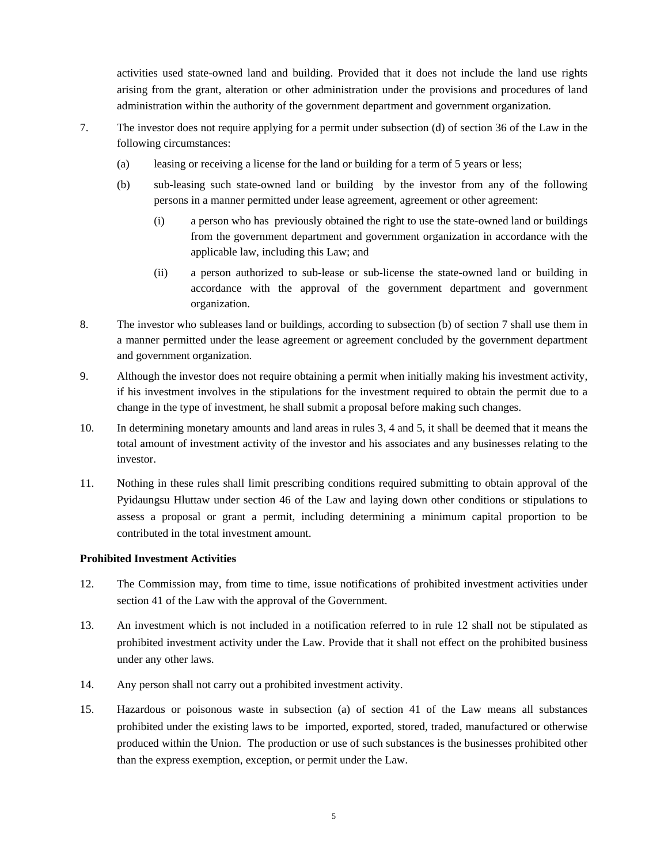activities used state-owned land and building. Provided that it does not include the land use rights arising from the grant, alteration or other administration under the provisions and procedures of land administration within the authority of the government department and government organization.

- 7. The investor does not require applying for a permit under subsection (d) of section 36 of the Law in the following circumstances:
	- (a) leasing or receiving a license for the land or building for a term of 5 years or less;
	- (b) sub-leasing such state-owned land or building by the investor from any of the following persons in a manner permitted under lease agreement, agreement or other agreement:
		- (i) a person who has previously obtained the right to use the state-owned land or buildings from the government department and government organization in accordance with the applicable law, including this Law; and
		- (ii) a person authorized to sub-lease or sub-license the state-owned land or building in accordance with the approval of the government department and government organization.
- 8. The investor who subleases land or buildings, according to subsection (b) of section 7 shall use them in a manner permitted under the lease agreement or agreement concluded by the government department and government organization.
- 9. Although the investor does not require obtaining a permit when initially making his investment activity, if his investment involves in the stipulations for the investment required to obtain the permit due to a change in the type of investment, he shall submit a proposal before making such changes.
- 10. In determining monetary amounts and land areas in rules 3, 4 and 5, it shall be deemed that it means the total amount of investment activity of the investor and his associates and any businesses relating to the investor.
- 11. Nothing in these rules shall limit prescribing conditions required submitting to obtain approval of the Pyidaungsu Hluttaw under section 46 of the Law and laying down other conditions or stipulations to assess a proposal or grant a permit, including determining a minimum capital proportion to be contributed in the total investment amount.

## **Prohibited Investment Activities**

- 12. The Commission may, from time to time, issue notifications of prohibited investment activities under section 41 of the Law with the approval of the Government.
- 13. An investment which is not included in a notification referred to in rule 12 shall not be stipulated as prohibited investment activity under the Law. Provide that it shall not effect on the prohibited business under any other laws.
- 14. Any person shall not carry out a prohibited investment activity.
- 15. Hazardous or poisonous waste in subsection (a) of section 41 of the Law means all substances prohibited under the existing laws to be imported, exported, stored, traded, manufactured or otherwise produced within the Union. The production or use of such substances is the businesses prohibited other than the express exemption, exception, or permit under the Law.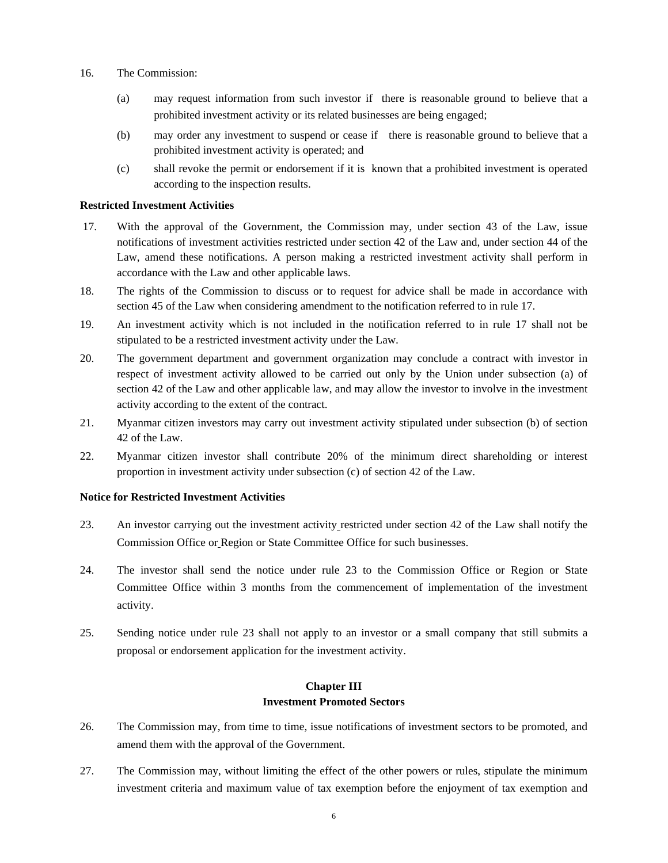- 16. The Commission:
	- (a) may request information from such investor if there is reasonable ground to believe that a prohibited investment activity or its related businesses are being engaged;
	- (b) may order any investment to suspend or cease if there is reasonable ground to believe that a prohibited investment activity is operated; and
	- (c) shall revoke the permit or endorsement if it is known that a prohibited investment is operated according to the inspection results.

#### **Restricted Investment Activities**

- 17. With the approval of the Government, the Commission may, under section 43 of the Law, issue notifications of investment activities restricted under section 42 of the Law and, under section 44 of the Law, amend these notifications. A person making a restricted investment activity shall perform in accordance with the Law and other applicable laws.
- 18. The rights of the Commission to discuss or to request for advice shall be made in accordance with section 45 of the Law when considering amendment to the notification referred to in rule 17.
- 19. An investment activity which is not included in the notification referred to in rule 17 shall not be stipulated to be a restricted investment activity under the Law.
- 20. The government department and government organization may conclude a contract with investor in respect of investment activity allowed to be carried out only by the Union under subsection (a) of section 42 of the Law and other applicable law, and may allow the investor to involve in the investment activity according to the extent of the contract.
- 21. Myanmar citizen investors may carry out investment activity stipulated under subsection (b) of section 42 of the Law.
- 22. Myanmar citizen investor shall contribute 20% of the minimum direct shareholding or interest proportion in investment activity under subsection (c) of section 42 of the Law.

#### **Notice for Restricted Investment Activities**

- 23. An investor carrying out the investment activity restricted under section 42 of the Law shall notify the Commission Office or Region or State Committee Office for such businesses.
- 24. The investor shall send the notice under rule 23 to the Commission Office or Region or State Committee Office within 3 months from the commencement of implementation of the investment activity.
- 25. Sending notice under rule 23 shall not apply to an investor or a small company that still submits a proposal or endorsement application for the investment activity.

# **Chapter III Investment Promoted Sectors**

- 26. The Commission may, from time to time, issue notifications of investment sectors to be promoted, and amend them with the approval of the Government.
- 27. The Commission may, without limiting the effect of the other powers or rules, stipulate the minimum investment criteria and maximum value of tax exemption before the enjoyment of tax exemption and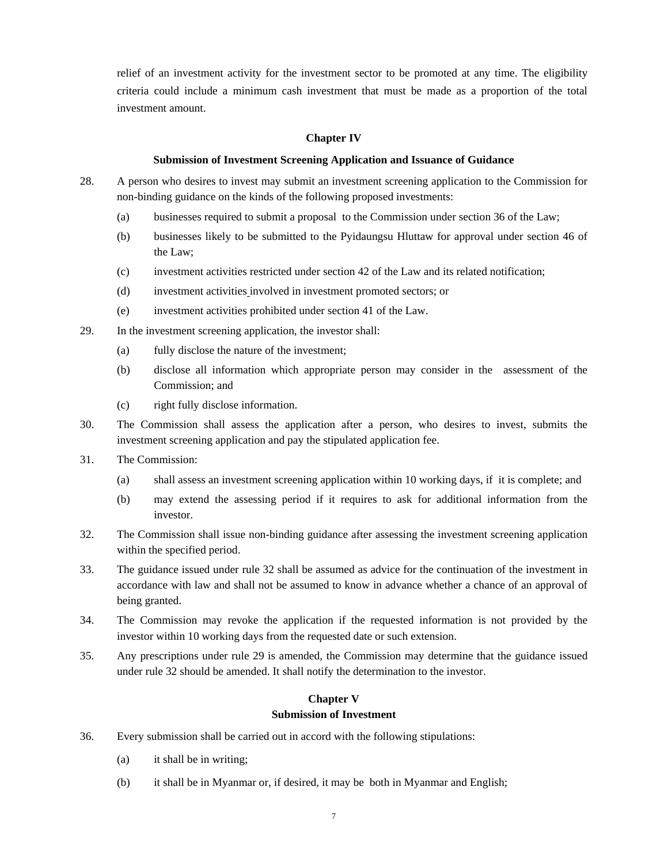relief of an investment activity for the investment sector to be promoted at any time. The eligibility criteria could include a minimum cash investment that must be made as a proportion of the total investment amount.

#### **Chapter IV**

#### **Submission of Investment Screening Application and Issuance of Guidance**

- 28. A person who desires to invest may submit an investment screening application to the Commission for non-binding guidance on the kinds of the following proposed investments:
	- (a) businesses required to submit a proposal to the Commission under section 36 of the Law;
	- (b) businesses likely to be submitted to the Pyidaungsu Hluttaw for approval under section 46 of the Law;
	- (c) investment activities restricted under section 42 of the Law and its related notification;
	- (d) investment activities involved in investment promoted sectors; or
	- (e) investment activities prohibited under section 41 of the Law.
- 29. In the investment screening application, the investor shall:
	- (a) fully disclose the nature of the investment;
	- (b) disclose all information which appropriate person may consider in the assessment of the Commission; and
	- (c) right fully disclose information.
- 30. The Commission shall assess the application after a person, who desires to invest, submits the investment screening application and pay the stipulated application fee.
- 31. The Commission:
	- (a) shall assess an investment screening application within 10 working days, if it is complete; and
	- (b) may extend the assessing period if it requires to ask for additional information from the investor.
- 32. The Commission shall issue non-binding guidance after assessing the investment screening application within the specified period.
- 33. The guidance issued under rule 32 shall be assumed as advice for the continuation of the investment in accordance with law and shall not be assumed to know in advance whether a chance of an approval of being granted.
- 34. The Commission may revoke the application if the requested information is not provided by the investor within 10 working days from the requested date or such extension.
- 35. Any prescriptions under rule 29 is amended, the Commission may determine that the guidance issued under rule 32 should be amended. It shall notify the determination to the investor.

#### **Chapter V Submission of Investment**

- 36. Every submission shall be carried out in accord with the following stipulations:
	- (a) it shall be in writing;
	- (b) it shall be in Myanmar or, if desired, it may be both in Myanmar and English;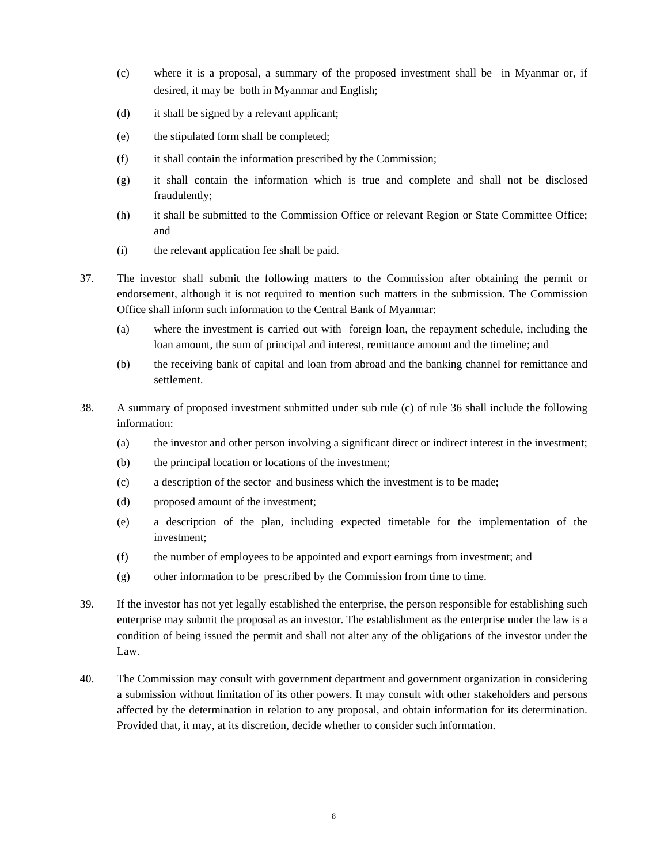- (c) where it is a proposal, a summary of the proposed investment shall be in Myanmar or, if desired, it may be both in Myanmar and English;
- (d) it shall be signed by a relevant applicant;
- (e) the stipulated form shall be completed;
- (f) it shall contain the information prescribed by the Commission;
- (g) it shall contain the information which is true and complete and shall not be disclosed fraudulently;
- (h) it shall be submitted to the Commission Office or relevant Region or State Committee Office; and
- (i) the relevant application fee shall be paid.
- 37. The investor shall submit the following matters to the Commission after obtaining the permit or endorsement, although it is not required to mention such matters in the submission. The Commission Office shall inform such information to the Central Bank of Myanmar:
	- (a) where the investment is carried out with foreign loan, the repayment schedule, including the loan amount, the sum of principal and interest, remittance amount and the timeline; and
	- (b) the receiving bank of capital and loan from abroad and the banking channel for remittance and settlement.
- 38. A summary of proposed investment submitted under sub rule (c) of rule 36 shall include the following information:
	- (a) the investor and other person involving a significant direct or indirect interest in the investment;
	- (b) the principal location or locations of the investment;
	- (c) a description of the sector and business which the investment is to be made;
	- (d) proposed amount of the investment;
	- (e) a description of the plan, including expected timetable for the implementation of the investment;
	- (f) the number of employees to be appointed and export earnings from investment; and
	- (g) other information to be prescribed by the Commission from time to time.
- 39. If the investor has not yet legally established the enterprise, the person responsible for establishing such enterprise may submit the proposal as an investor. The establishment as the enterprise under the law is a condition of being issued the permit and shall not alter any of the obligations of the investor under the Law.
- 40. The Commission may consult with government department and government organization in considering a submission without limitation of its other powers. It may consult with other stakeholders and persons affected by the determination in relation to any proposal, and obtain information for its determination. Provided that, it may, at its discretion, decide whether to consider such information.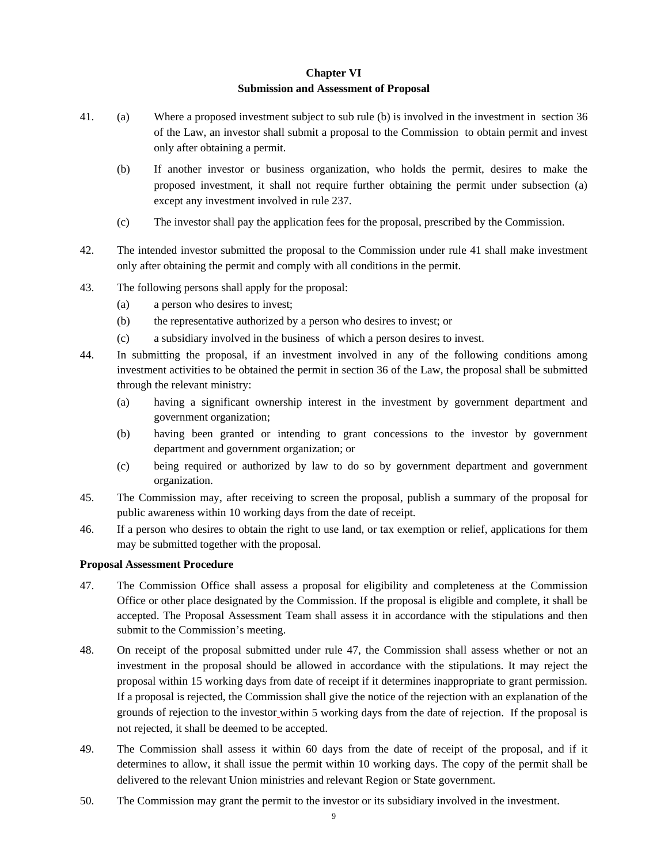## **Chapter VI**

## **Submission and Assessment of Proposal**

- 41. (a) Where a proposed investment subject to sub rule (b) is involved in the investment in section 36 of the Law, an investor shall submit a proposal to the Commission to obtain permit and invest only after obtaining a permit.
	- (b) If another investor or business organization, who holds the permit, desires to make the proposed investment, it shall not require further obtaining the permit under subsection (a) except any investment involved in rule 237.
	- (c) The investor shall pay the application fees for the proposal, prescribed by the Commission.
- 42. The intended investor submitted the proposal to the Commission under rule 41 shall make investment only after obtaining the permit and comply with all conditions in the permit.
- 43. The following persons shall apply for the proposal:
	- (a) a person who desires to invest;
	- (b) the representative authorized by a person who desires to invest; or
	- (c) a subsidiary involved in the business of which a person desires to invest.
- 44. In submitting the proposal, if an investment involved in any of the following conditions among investment activities to be obtained the permit in section 36 of the Law, the proposal shall be submitted through the relevant ministry:
	- (a) having a significant ownership interest in the investment by government department and government organization;
	- (b) having been granted or intending to grant concessions to the investor by government department and government organization; or
	- (c) being required or authorized by law to do so by government department and government organization.
- 45. The Commission may, after receiving to screen the proposal, publish a summary of the proposal for public awareness within 10 working days from the date of receipt.
- 46. If a person who desires to obtain the right to use land, or tax exemption or relief, applications for them may be submitted together with the proposal.

## **Proposal Assessment Procedure**

- 47. The Commission Office shall assess a proposal for eligibility and completeness at the Commission Office or other place designated by the Commission. If the proposal is eligible and complete, it shall be accepted. The Proposal Assessment Team shall assess it in accordance with the stipulations and then submit to the Commission's meeting.
- 48. On receipt of the proposal submitted under rule 47, the Commission shall assess whether or not an investment in the proposal should be allowed in accordance with the stipulations. It may reject the proposal within 15 working days from date of receipt if it determines inappropriate to grant permission. If a proposal is rejected, the Commission shall give the notice of the rejection with an explanation of the grounds of rejection to the investor within 5 working days from the date of rejection. If the proposal is not rejected, it shall be deemed to be accepted.
- 49. The Commission shall assess it within 60 days from the date of receipt of the proposal, and if it determines to allow, it shall issue the permit within 10 working days. The copy of the permit shall be delivered to the relevant Union ministries and relevant Region or State government.
- 50. The Commission may grant the permit to the investor or its subsidiary involved in the investment.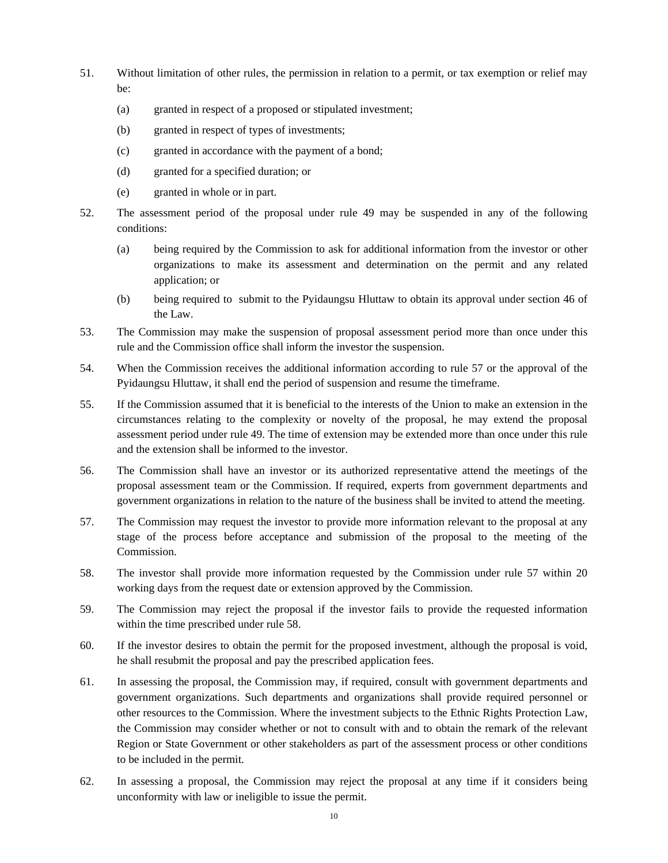- 51. Without limitation of other rules, the permission in relation to a permit, or tax exemption or relief may be:
	- (a) granted in respect of a proposed or stipulated investment;
	- (b) granted in respect of types of investments;
	- (c) granted in accordance with the payment of a bond;
	- (d) granted for a specified duration; or
	- (e) granted in whole or in part.
- 52. The assessment period of the proposal under rule 49 may be suspended in any of the following conditions:
	- (a) being required by the Commission to ask for additional information from the investor or other organizations to make its assessment and determination on the permit and any related application; or
	- (b) being required to submit to the Pyidaungsu Hluttaw to obtain its approval under section 46 of the Law.
- 53. The Commission may make the suspension of proposal assessment period more than once under this rule and the Commission office shall inform the investor the suspension.
- 54. When the Commission receives the additional information according to rule 57 or the approval of the Pyidaungsu Hluttaw, it shall end the period of suspension and resume the timeframe.
- 55. If the Commission assumed that it is beneficial to the interests of the Union to make an extension in the circumstances relating to the complexity or novelty of the proposal, he may extend the proposal assessment period under rule 49. The time of extension may be extended more than once under this rule and the extension shall be informed to the investor.
- 56. The Commission shall have an investor or its authorized representative attend the meetings of the proposal assessment team or the Commission. If required, experts from government departments and government organizations in relation to the nature of the business shall be invited to attend the meeting.
- 57. The Commission may request the investor to provide more information relevant to the proposal at any stage of the process before acceptance and submission of the proposal to the meeting of the Commission.
- 58. The investor shall provide more information requested by the Commission under rule 57 within 20 working days from the request date or extension approved by the Commission.
- 59. The Commission may reject the proposal if the investor fails to provide the requested information within the time prescribed under rule 58.
- 60. If the investor desires to obtain the permit for the proposed investment, although the proposal is void, he shall resubmit the proposal and pay the prescribed application fees.
- 61. In assessing the proposal, the Commission may, if required, consult with government departments and government organizations. Such departments and organizations shall provide required personnel or other resources to the Commission. Where the investment subjects to the Ethnic Rights Protection Law, the Commission may consider whether or not to consult with and to obtain the remark of the relevant Region or State Government or other stakeholders as part of the assessment process or other conditions to be included in the permit.
- 62. In assessing a proposal, the Commission may reject the proposal at any time if it considers being unconformity with law or ineligible to issue the permit.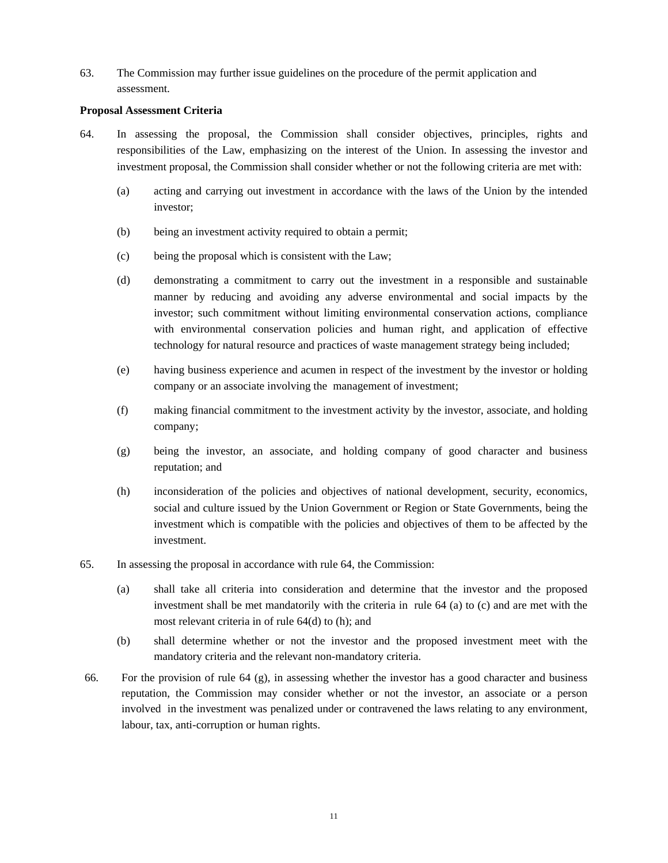63. The Commission may further issue guidelines on the procedure of the permit application and assessment.

#### **Proposal Assessment Criteria**

- 64. In assessing the proposal, the Commission shall consider objectives, principles, rights and responsibilities of the Law, emphasizing on the interest of the Union. In assessing the investor and investment proposal, the Commission shall consider whether or not the following criteria are met with:
	- (a) acting and carrying out investment in accordance with the laws of the Union by the intended investor;
	- (b) being an investment activity required to obtain a permit;
	- (c) being the proposal which is consistent with the Law;
	- (d) demonstrating a commitment to carry out the investment in a responsible and sustainable manner by reducing and avoiding any adverse environmental and social impacts by the investor; such commitment without limiting environmental conservation actions, compliance with environmental conservation policies and human right, and application of effective technology for natural resource and practices of waste management strategy being included;
	- (e) having business experience and acumen in respect of the investment by the investor or holding company or an associate involving the management of investment;
	- (f) making financial commitment to the investment activity by the investor, associate, and holding company;
	- (g) being the investor, an associate, and holding company of good character and business reputation; and
	- (h) inconsideration of the policies and objectives of national development, security, economics, social and culture issued by the Union Government or Region or State Governments, being the investment which is compatible with the policies and objectives of them to be affected by the investment.
- 65. In assessing the proposal in accordance with rule 64, the Commission:
	- (a) shall take all criteria into consideration and determine that the investor and the proposed investment shall be met mandatorily with the criteria in rule 64 (a) to (c) and are met with the most relevant criteria in of rule 64(d) to (h); and
	- (b) shall determine whether or not the investor and the proposed investment meet with the mandatory criteria and the relevant non-mandatory criteria.
- 66. For the provision of rule 64 (g), in assessing whether the investor has a good character and business reputation, the Commission may consider whether or not the investor, an associate or a person involved in the investment was penalized under or contravened the laws relating to any environment, labour, tax, anti-corruption or human rights.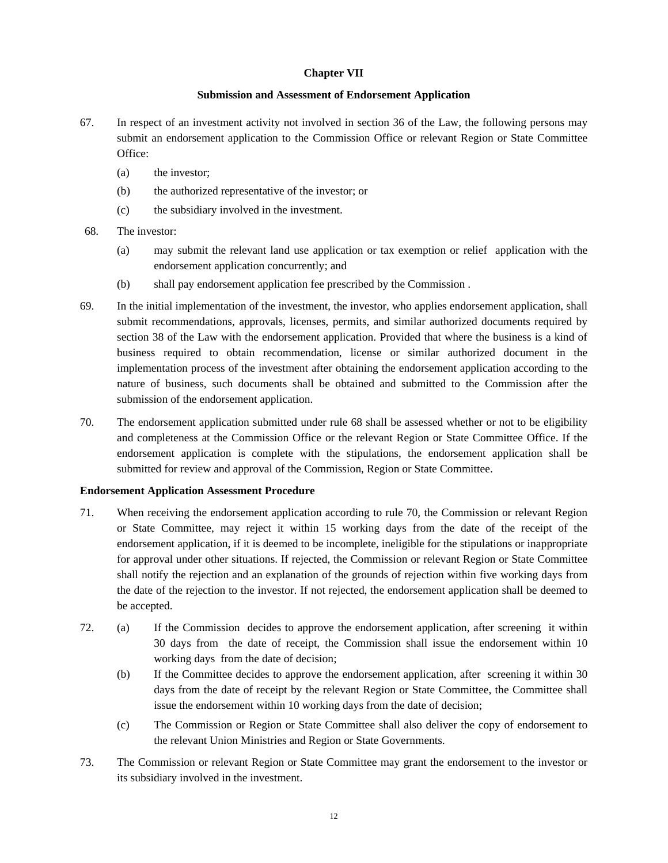## **Chapter VII**

## **Submission and Assessment of Endorsement Application**

- 67. In respect of an investment activity not involved in section 36 of the Law, the following persons may submit an endorsement application to the Commission Office or relevant Region or State Committee Office:
	- (a) the investor;
	- (b) the authorized representative of the investor; or
	- (c) the subsidiary involved in the investment.
- 68. The investor:
	- (a) may submit the relevant land use application or tax exemption or relief application with the endorsement application concurrently; and
	- (b) shall pay endorsement application fee prescribed by the Commission .
- 69. In the initial implementation of the investment, the investor, who applies endorsement application, shall submit recommendations, approvals, licenses, permits, and similar authorized documents required by section 38 of the Law with the endorsement application. Provided that where the business is a kind of business required to obtain recommendation, license or similar authorized document in the implementation process of the investment after obtaining the endorsement application according to the nature of business, such documents shall be obtained and submitted to the Commission after the submission of the endorsement application.
- 70. The endorsement application submitted under rule 68 shall be assessed whether or not to be eligibility and completeness at the Commission Office or the relevant Region or State Committee Office. If the endorsement application is complete with the stipulations, the endorsement application shall be submitted for review and approval of the Commission, Region or State Committee.

## **Endorsement Application Assessment Procedure**

- 71. When receiving the endorsement application according to rule 70, the Commission or relevant Region or State Committee, may reject it within 15 working days from the date of the receipt of the endorsement application, if it is deemed to be incomplete, ineligible for the stipulations or inappropriate for approval under other situations. If rejected, the Commission or relevant Region or State Committee shall notify the rejection and an explanation of the grounds of rejection within five working days from the date of the rejection to the investor. If not rejected, the endorsement application shall be deemed to be accepted.
- 72. (a) If the Commission decides to approve the endorsement application, after screening it within 30 days from the date of receipt, the Commission shall issue the endorsement within 10 working days from the date of decision;
	- (b) If the Committee decides to approve the endorsement application, after screening it within 30 days from the date of receipt by the relevant Region or State Committee, the Committee shall issue the endorsement within 10 working days from the date of decision;
	- (c) The Commission or Region or State Committee shall also deliver the copy of endorsement to the relevant Union Ministries and Region or State Governments.
- 73. The Commission or relevant Region or State Committee may grant the endorsement to the investor or its subsidiary involved in the investment.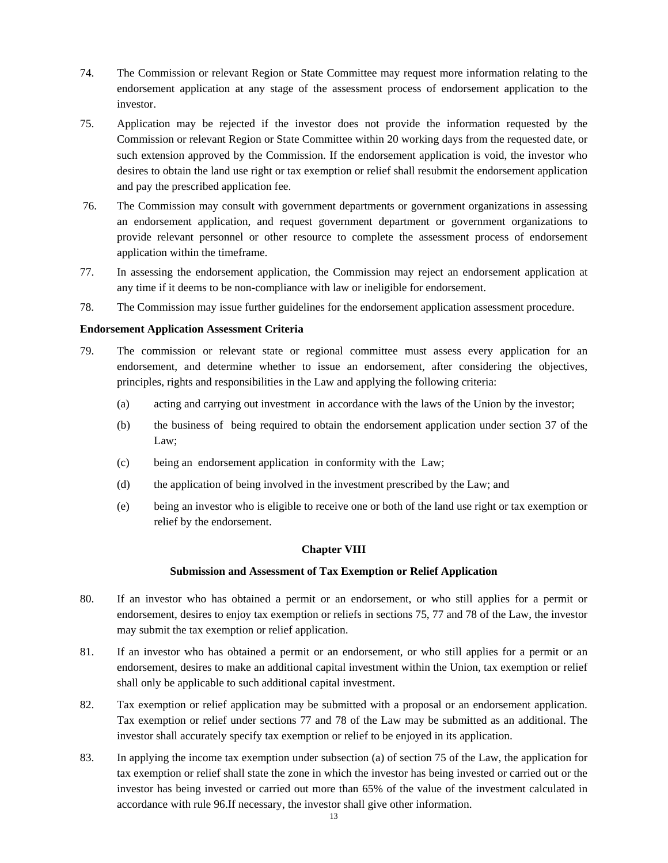- 74. The Commission or relevant Region or State Committee may request more information relating to the endorsement application at any stage of the assessment process of endorsement application to the investor.
- 75. Application may be rejected if the investor does not provide the information requested by the Commission or relevant Region or State Committee within 20 working days from the requested date, or such extension approved by the Commission. If the endorsement application is void, the investor who desires to obtain the land use right or tax exemption or relief shall resubmit the endorsement application and pay the prescribed application fee.
- 76. The Commission may consult with government departments or government organizations in assessing an endorsement application, and request government department or government organizations to provide relevant personnel or other resource to complete the assessment process of endorsement application within the timeframe.
- 77. In assessing the endorsement application, the Commission may reject an endorsement application at any time if it deems to be non-compliance with law or ineligible for endorsement.
- 78. The Commission may issue further guidelines for the endorsement application assessment procedure.

#### **Endorsement Application Assessment Criteria**

- 79. The commission or relevant state or regional committee must assess every application for an endorsement, and determine whether to issue an endorsement, after considering the objectives, principles, rights and responsibilities in the Law and applying the following criteria:
	- (a) acting and carrying out investment in accordance with the laws of the Union by the investor;
	- (b) the business of being required to obtain the endorsement application under section 37 of the Law;
	- (c) being an endorsement application in conformity with the Law;
	- (d) the application of being involved in the investment prescribed by the Law; and
	- (e) being an investor who is eligible to receive one or both of the land use right or tax exemption or relief by the endorsement.

## **Chapter VIII**

#### **Submission and Assessment of Tax Exemption or Relief Application**

- 80. If an investor who has obtained a permit or an endorsement, or who still applies for a permit or endorsement, desires to enjoy tax exemption or reliefs in sections 75, 77 and 78 of the Law, the investor may submit the tax exemption or relief application.
- 81. If an investor who has obtained a permit or an endorsement, or who still applies for a permit or an endorsement, desires to make an additional capital investment within the Union, tax exemption or relief shall only be applicable to such additional capital investment.
- 82. Tax exemption or relief application may be submitted with a proposal or an endorsement application. Tax exemption or relief under sections 77 and 78 of the Law may be submitted as an additional. The investor shall accurately specify tax exemption or relief to be enjoyed in its application.
- 83. In applying the income tax exemption under subsection (a) of section 75 of the Law, the application for tax exemption or relief shall state the zone in which the investor has being invested or carried out or the investor has being invested or carried out more than 65% of the value of the investment calculated in accordance with rule 96.If necessary, the investor shall give other information.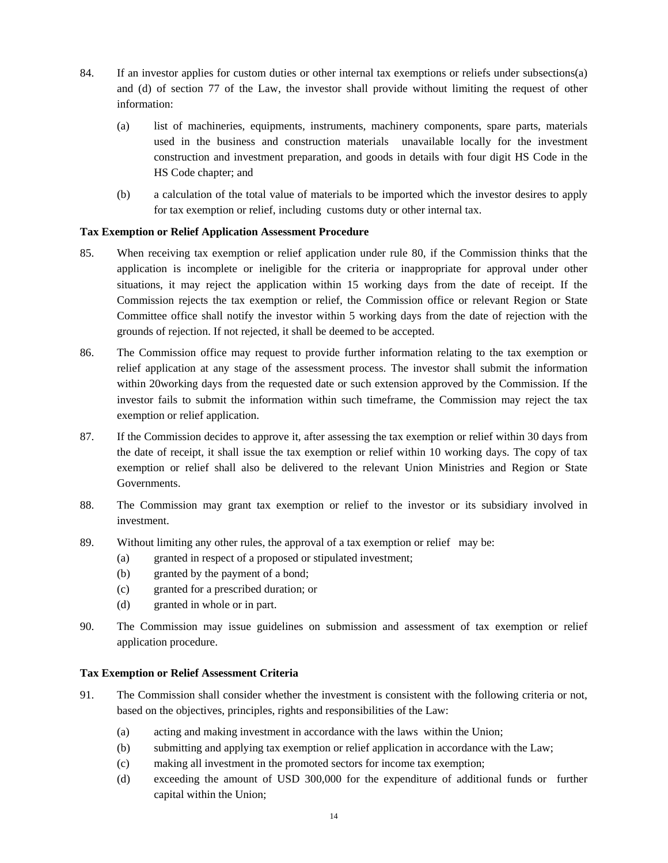- 84. If an investor applies for custom duties or other internal tax exemptions or reliefs under subsections(a) and (d) of section 77 of the Law, the investor shall provide without limiting the request of other information:
	- (a) list of machineries, equipments, instruments, machinery components, spare parts, materials used in the business and construction materials unavailable locally for the investment construction and investment preparation, and goods in details with four digit HS Code in the HS Code chapter; and
	- (b) a calculation of the total value of materials to be imported which the investor desires to apply for tax exemption or relief, including customs duty or other internal tax.

## **Tax Exemption or Relief Application Assessment Procedure**

- 85. When receiving tax exemption or relief application under rule 80, if the Commission thinks that the application is incomplete or ineligible for the criteria or inappropriate for approval under other situations, it may reject the application within 15 working days from the date of receipt. If the Commission rejects the tax exemption or relief, the Commission office or relevant Region or State Committee office shall notify the investor within 5 working days from the date of rejection with the grounds of rejection. If not rejected, it shall be deemed to be accepted.
- 86. The Commission office may request to provide further information relating to the tax exemption or relief application at any stage of the assessment process. The investor shall submit the information within 20working days from the requested date or such extension approved by the Commission. If the investor fails to submit the information within such timeframe, the Commission may reject the tax exemption or relief application.
- 87. If the Commission decides to approve it, after assessing the tax exemption or relief within 30 days from the date of receipt, it shall issue the tax exemption or relief within 10 working days. The copy of tax exemption or relief shall also be delivered to the relevant Union Ministries and Region or State Governments.
- 88. The Commission may grant tax exemption or relief to the investor or its subsidiary involved in investment.
- 89. Without limiting any other rules, the approval of a tax exemption or relief may be:
	- (a) granted in respect of a proposed or stipulated investment;
	- (b) granted by the payment of a bond;
	- (c) granted for a prescribed duration; or
	- (d) granted in whole or in part.
- 90. The Commission may issue guidelines on submission and assessment of tax exemption or relief application procedure.

## **Tax Exemption or Relief Assessment Criteria**

- 91. The Commission shall consider whether the investment is consistent with the following criteria or not, based on the objectives, principles, rights and responsibilities of the Law:
	- (a) acting and making investment in accordance with the laws within the Union;
	- (b) submitting and applying tax exemption or relief application in accordance with the Law;
	- (c) making all investment in the promoted sectors for income tax exemption;
	- (d) exceeding the amount of USD 300,000 for the expenditure of additional funds or further capital within the Union;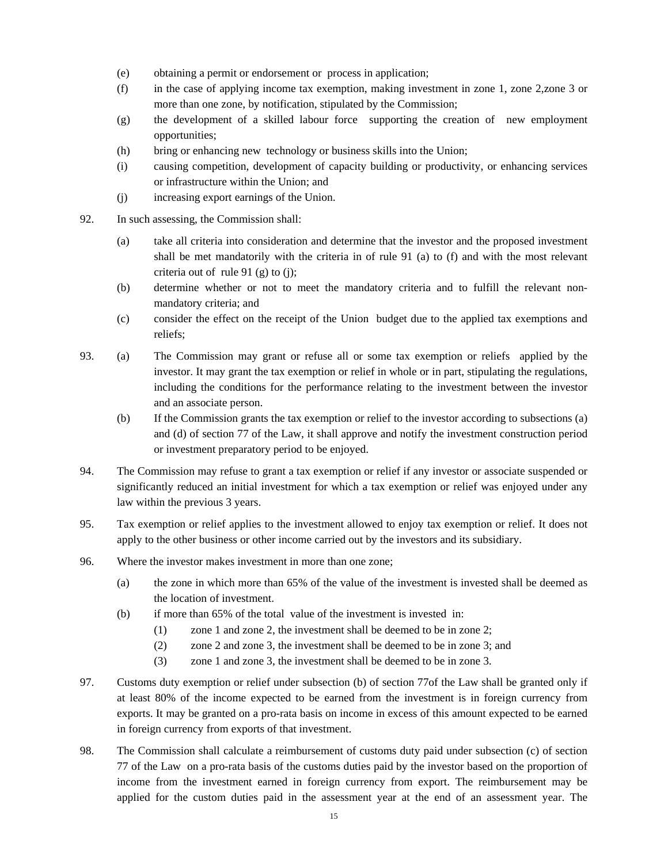- (e) obtaining a permit or endorsement or process in application;
- (f) in the case of applying income tax exemption, making investment in zone 1, zone 2,zone 3 or more than one zone, by notification, stipulated by the Commission;
- (g) the development of a skilled labour force supporting the creation of new employment opportunities;
- (h) bring or enhancing new technology or business skills into the Union;
- (i) causing competition, development of capacity building or productivity, or enhancing services or infrastructure within the Union; and
- (j) increasing export earnings of the Union.
- 92. In such assessing, the Commission shall:
	- (a) take all criteria into consideration and determine that the investor and the proposed investment shall be met mandatorily with the criteria in of rule 91 (a) to (f) and with the most relevant criteria out of rule 91 (g) to (j);
	- (b) determine whether or not to meet the mandatory criteria and to fulfill the relevant nonmandatory criteria; and
	- (c) consider the effect on the receipt of the Union budget due to the applied tax exemptions and reliefs;
- 93. (a) The Commission may grant or refuse all or some tax exemption or reliefs applied by the investor. It may grant the tax exemption or relief in whole or in part, stipulating the regulations, including the conditions for the performance relating to the investment between the investor and an associate person.
	- (b) If the Commission grants the tax exemption or relief to the investor according to subsections (a) and (d) of section 77 of the Law, it shall approve and notify the investment construction period or investment preparatory period to be enjoyed.
- 94. The Commission may refuse to grant a tax exemption or relief if any investor or associate suspended or significantly reduced an initial investment for which a tax exemption or relief was enjoyed under any law within the previous 3 years.
- 95. Tax exemption or relief applies to the investment allowed to enjoy tax exemption or relief. It does not apply to the other business or other income carried out by the investors and its subsidiary.
- 96. Where the investor makes investment in more than one zone;
	- (a) the zone in which more than 65% of the value of the investment is invested shall be deemed as the location of investment.
	- (b) if more than 65% of the total value of the investment is invested in:
		- (1) zone 1 and zone 2, the investment shall be deemed to be in zone 2;
		- (2) zone 2 and zone 3, the investment shall be deemed to be in zone 3; and
		- (3) zone 1 and zone 3, the investment shall be deemed to be in zone 3.
- 97. Customs duty exemption or relief under subsection (b) of section 77of the Law shall be granted only if at least 80% of the income expected to be earned from the investment is in foreign currency from exports. It may be granted on a pro-rata basis on income in excess of this amount expected to be earned in foreign currency from exports of that investment.
- 98. The Commission shall calculate a reimbursement of customs duty paid under subsection (c) of section 77 of the Law on a pro-rata basis of the customs duties paid by the investor based on the proportion of income from the investment earned in foreign currency from export. The reimbursement may be applied for the custom duties paid in the assessment year at the end of an assessment year. The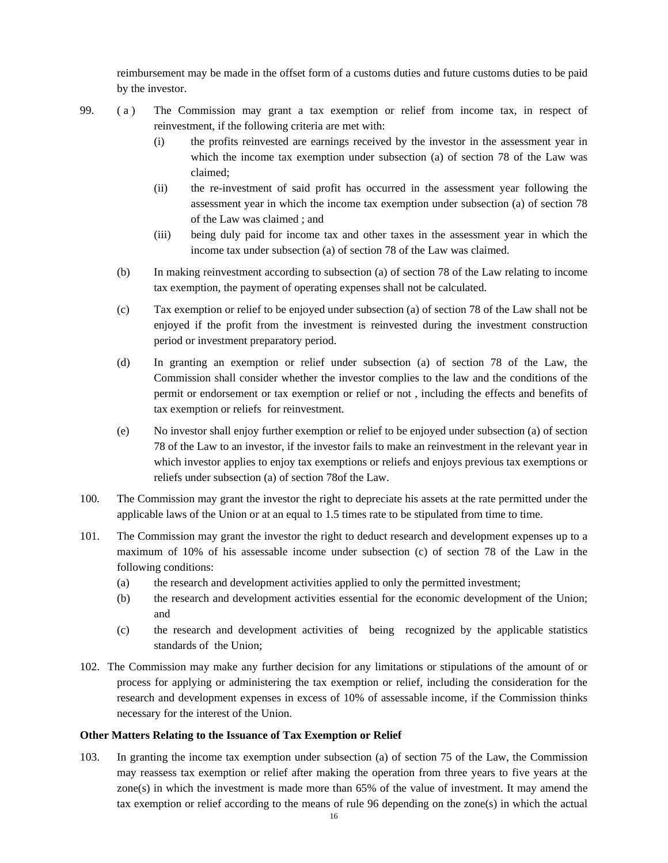reimbursement may be made in the offset form of a customs duties and future customs duties to be paid by the investor.

99. ( a ) The Commission may grant a tax exemption or relief from income tax, in respect of reinvestment, if the following criteria are met with:

- (i) the profits reinvested are earnings received by the investor in the assessment year in which the income tax exemption under subsection (a) of section 78 of the Law was claimed;
- (ii) the re-investment of said profit has occurred in the assessment year following the assessment year in which the income tax exemption under subsection (a) of section 78 of the Law was claimed ; and
- (iii) being duly paid for income tax and other taxes in the assessment year in which the income tax under subsection (a) of section 78 of the Law was claimed.
- (b) In making reinvestment according to subsection (a) of section 78 of the Law relating to income tax exemption, the payment of operating expenses shall not be calculated.
- (c) Tax exemption or relief to be enjoyed under subsection (a) of section 78 of the Law shall not be enjoyed if the profit from the investment is reinvested during the investment construction period or investment preparatory period.
- (d) In granting an exemption or relief under subsection (a) of section 78 of the Law, the Commission shall consider whether the investor complies to the law and the conditions of the permit or endorsement or tax exemption or relief or not , including the effects and benefits of tax exemption or reliefs for reinvestment.
- (e) No investor shall enjoy further exemption or relief to be enjoyed under subsection (a) of section 78 of the Law to an investor, if the investor fails to make an reinvestment in the relevant year in which investor applies to enjoy tax exemptions or reliefs and enjoys previous tax exemptions or reliefs under subsection (a) of section 78of the Law.
- 100. The Commission may grant the investor the right to depreciate his assets at the rate permitted under the applicable laws of the Union or at an equal to 1.5 times rate to be stipulated from time to time.
- 101. The Commission may grant the investor the right to deduct research and development expenses up to a maximum of 10% of his assessable income under subsection (c) of section 78 of the Law in the following conditions:
	- (a) the research and development activities applied to only the permitted investment;
	- (b) the research and development activities essential for the economic development of the Union; and
	- (c) the research and development activities of being recognized by the applicable statistics standards of the Union;
- 102. The Commission may make any further decision for any limitations or stipulations of the amount of or process for applying or administering the tax exemption or relief, including the consideration for the research and development expenses in excess of 10% of assessable income, if the Commission thinks necessary for the interest of the Union.

## **Other Matters Relating to the Issuance of Tax Exemption or Relief**

103. In granting the income tax exemption under subsection (a) of section 75 of the Law, the Commission may reassess tax exemption or relief after making the operation from three years to five years at the zone(s) in which the investment is made more than 65% of the value of investment. It may amend the tax exemption or relief according to the means of rule 96 depending on the zone(s) in which the actual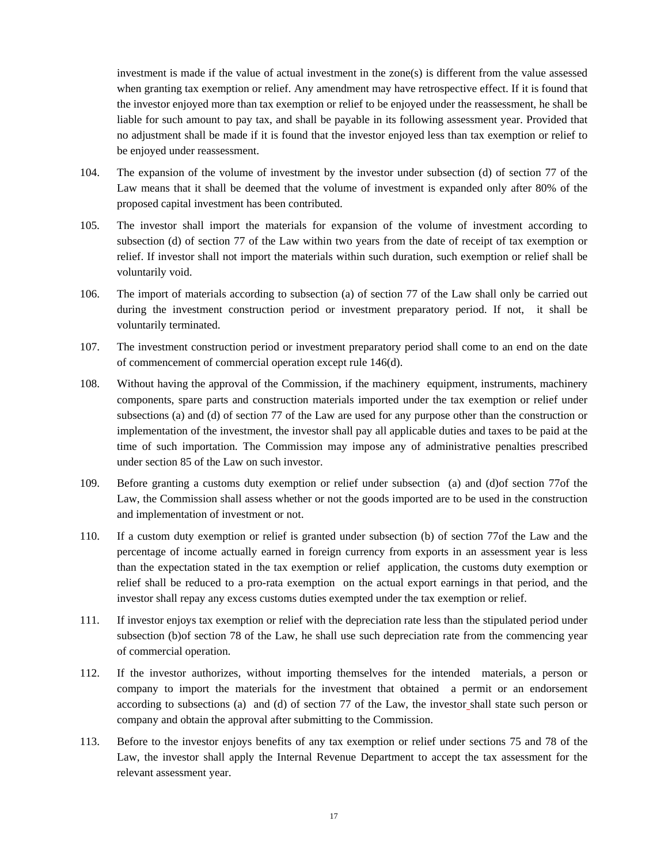investment is made if the value of actual investment in the zone(s) is different from the value assessed when granting tax exemption or relief. Any amendment may have retrospective effect. If it is found that the investor enjoyed more than tax exemption or relief to be enjoyed under the reassessment, he shall be liable for such amount to pay tax, and shall be payable in its following assessment year. Provided that no adjustment shall be made if it is found that the investor enjoyed less than tax exemption or relief to be enjoyed under reassessment.

- 104. The expansion of the volume of investment by the investor under subsection (d) of section 77 of the Law means that it shall be deemed that the volume of investment is expanded only after 80% of the proposed capital investment has been contributed.
- 105. The investor shall import the materials for expansion of the volume of investment according to subsection (d) of section 77 of the Law within two years from the date of receipt of tax exemption or relief. If investor shall not import the materials within such duration, such exemption or relief shall be voluntarily void.
- 106. The import of materials according to subsection (a) of section 77 of the Law shall only be carried out during the investment construction period or investment preparatory period. If not, it shall be voluntarily terminated.
- 107. The investment construction period or investment preparatory period shall come to an end on the date of commencement of commercial operation except rule 146(d).
- 108. Without having the approval of the Commission, if the machinery equipment, instruments, machinery components, spare parts and construction materials imported under the tax exemption or relief under subsections (a) and (d) of section 77 of the Law are used for any purpose other than the construction or implementation of the investment, the investor shall pay all applicable duties and taxes to be paid at the time of such importation. The Commission may impose any of administrative penalties prescribed under section 85 of the Law on such investor.
- 109. Before granting a customs duty exemption or relief under subsection (a) and (d)of section 77of the Law, the Commission shall assess whether or not the goods imported are to be used in the construction and implementation of investment or not.
- 110. If a custom duty exemption or relief is granted under subsection (b) of section 77of the Law and the percentage of income actually earned in foreign currency from exports in an assessment year is less than the expectation stated in the tax exemption or relief application, the customs duty exemption or relief shall be reduced to a pro-rata exemption on the actual export earnings in that period, and the investor shall repay any excess customs duties exempted under the tax exemption or relief.
- 111. If investor enjoys tax exemption or relief with the depreciation rate less than the stipulated period under subsection (b)of section 78 of the Law, he shall use such depreciation rate from the commencing year of commercial operation.
- 112. If the investor authorizes, without importing themselves for the intended materials, a person or company to import the materials for the investment that obtained a permit or an endorsement according to subsections (a) and (d) of section 77 of the Law, the investor shall state such person or company and obtain the approval after submitting to the Commission.
- 113. Before to the investor enjoys benefits of any tax exemption or relief under sections 75 and 78 of the Law, the investor shall apply the Internal Revenue Department to accept the tax assessment for the relevant assessment year.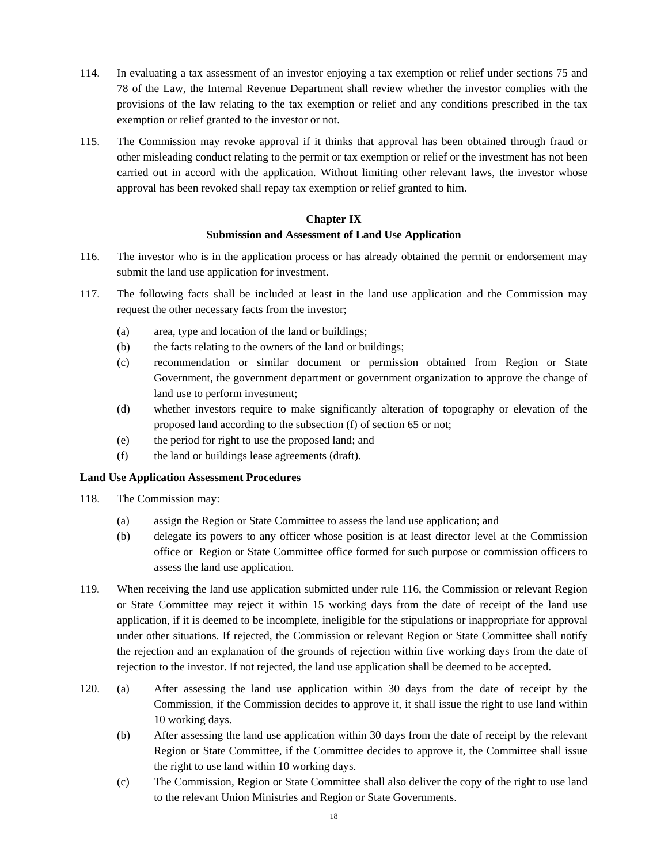- 114. In evaluating a tax assessment of an investor enjoying a tax exemption or relief under sections 75 and 78 of the Law, the Internal Revenue Department shall review whether the investor complies with the provisions of the law relating to the tax exemption or relief and any conditions prescribed in the tax exemption or relief granted to the investor or not.
- 115. The Commission may revoke approval if it thinks that approval has been obtained through fraud or other misleading conduct relating to the permit or tax exemption or relief or the investment has not been carried out in accord with the application. Without limiting other relevant laws, the investor whose approval has been revoked shall repay tax exemption or relief granted to him.

# **Chapter IX Submission and Assessment of Land Use Application**

- 116. The investor who is in the application process or has already obtained the permit or endorsement may submit the land use application for investment.
- 117. The following facts shall be included at least in the land use application and the Commission may request the other necessary facts from the investor;
	- (a) area, type and location of the land or buildings;
	- (b) the facts relating to the owners of the land or buildings;
	- (c) recommendation or similar document or permission obtained from Region or State Government, the government department or government organization to approve the change of land use to perform investment;
	- (d) whether investors require to make significantly alteration of topography or elevation of the proposed land according to the subsection (f) of section 65 or not;
	- (e) the period for right to use the proposed land; and
	- (f) the land or buildings lease agreements (draft).

## **Land Use Application Assessment Procedures**

- 118. The Commission may:
	- (a) assign the Region or State Committee to assess the land use application; and
	- (b) delegate its powers to any officer whose position is at least director level at the Commission office or Region or State Committee office formed for such purpose or commission officers to assess the land use application.
- 119. When receiving the land use application submitted under rule 116, the Commission or relevant Region or State Committee may reject it within 15 working days from the date of receipt of the land use application, if it is deemed to be incomplete, ineligible for the stipulations or inappropriate for approval under other situations. If rejected, the Commission or relevant Region or State Committee shall notify the rejection and an explanation of the grounds of rejection within five working days from the date of rejection to the investor. If not rejected, the land use application shall be deemed to be accepted.
- 120. (a) After assessing the land use application within 30 days from the date of receipt by the Commission, if the Commission decides to approve it, it shall issue the right to use land within 10 working days.
	- (b) After assessing the land use application within 30 days from the date of receipt by the relevant Region or State Committee, if the Committee decides to approve it, the Committee shall issue the right to use land within 10 working days.
	- (c) The Commission, Region or State Committee shall also deliver the copy of the right to use land to the relevant Union Ministries and Region or State Governments.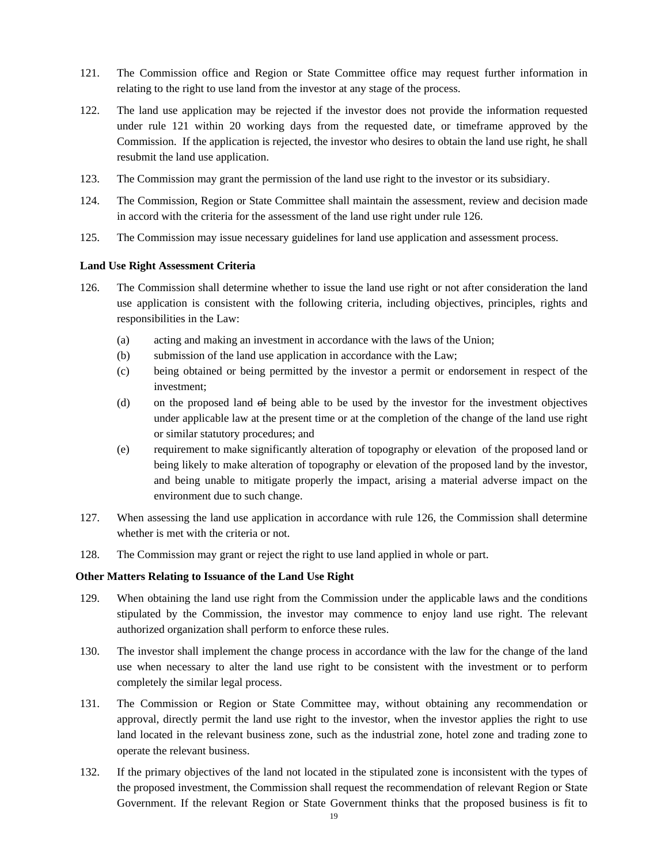- 121. The Commission office and Region or State Committee office may request further information in relating to the right to use land from the investor at any stage of the process.
- 122. The land use application may be rejected if the investor does not provide the information requested under rule 121 within 20 working days from the requested date, or timeframe approved by the Commission. If the application is rejected, the investor who desires to obtain the land use right, he shall resubmit the land use application.
- 123. The Commission may grant the permission of the land use right to the investor or its subsidiary.
- 124. The Commission, Region or State Committee shall maintain the assessment, review and decision made in accord with the criteria for the assessment of the land use right under rule 126.
- 125. The Commission may issue necessary guidelines for land use application and assessment process.

#### **Land Use Right Assessment Criteria**

- 126. The Commission shall determine whether to issue the land use right or not after consideration the land use application is consistent with the following criteria, including objectives, principles, rights and responsibilities in the Law:
	- (a) acting and making an investment in accordance with the laws of the Union;
	- (b) submission of the land use application in accordance with the Law;
	- (c) being obtained or being permitted by the investor a permit or endorsement in respect of the investment;
	- (d) on the proposed land of being able to be used by the investor for the investment objectives under applicable law at the present time or at the completion of the change of the land use right or similar statutory procedures; and
	- (e) requirement to make significantly alteration of topography or elevation of the proposed land or being likely to make alteration of topography or elevation of the proposed land by the investor, and being unable to mitigate properly the impact, arising a material adverse impact on the environment due to such change.
- 127. When assessing the land use application in accordance with rule 126, the Commission shall determine whether is met with the criteria or not.
- 128. The Commission may grant or reject the right to use land applied in whole or part.

#### **Other Matters Relating to Issuance of the Land Use Right**

- 129. When obtaining the land use right from the Commission under the applicable laws and the conditions stipulated by the Commission, the investor may commence to enjoy land use right. The relevant authorized organization shall perform to enforce these rules.
- 130. The investor shall implement the change process in accordance with the law for the change of the land use when necessary to alter the land use right to be consistent with the investment or to perform completely the similar legal process.
- 131. The Commission or Region or State Committee may, without obtaining any recommendation or approval, directly permit the land use right to the investor, when the investor applies the right to use land located in the relevant business zone, such as the industrial zone, hotel zone and trading zone to operate the relevant business.
- 132. If the primary objectives of the land not located in the stipulated zone is inconsistent with the types of the proposed investment, the Commission shall request the recommendation of relevant Region or State Government. If the relevant Region or State Government thinks that the proposed business is fit to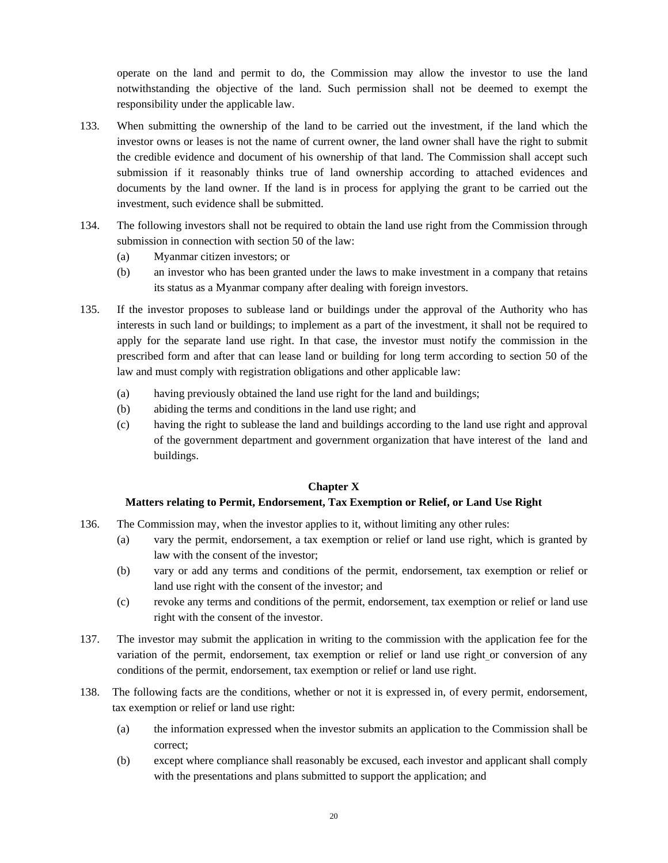operate on the land and permit to do, the Commission may allow the investor to use the land notwithstanding the objective of the land. Such permission shall not be deemed to exempt the responsibility under the applicable law.

- 133. When submitting the ownership of the land to be carried out the investment, if the land which the investor owns or leases is not the name of current owner, the land owner shall have the right to submit the credible evidence and document of his ownership of that land. The Commission shall accept such submission if it reasonably thinks true of land ownership according to attached evidences and documents by the land owner. If the land is in process for applying the grant to be carried out the investment, such evidence shall be submitted.
- 134. The following investors shall not be required to obtain the land use right from the Commission through submission in connection with section 50 of the law:
	- (a) Myanmar citizen investors; or
	- (b) an investor who has been granted under the laws to make investment in a company that retains its status as a Myanmar company after dealing with foreign investors.
- 135. If the investor proposes to sublease land or buildings under the approval of the Authority who has interests in such land or buildings; to implement as a part of the investment, it shall not be required to apply for the separate land use right. In that case, the investor must notify the commission in the prescribed form and after that can lease land or building for long term according to section 50 of the law and must comply with registration obligations and other applicable law:
	- (a) having previously obtained the land use right for the land and buildings;
	- (b) abiding the terms and conditions in the land use right; and
	- (c) having the right to sublease the land and buildings according to the land use right and approval of the government department and government organization that have interest of the land and buildings.

## **Chapter X**

## **Matters relating to Permit, Endorsement, Tax Exemption or Relief, or Land Use Right**

- 136. The Commission may, when the investor applies to it, without limiting any other rules:
	- (a) vary the permit, endorsement, a tax exemption or relief or land use right, which is granted by law with the consent of the investor;
	- (b) vary or add any terms and conditions of the permit, endorsement, tax exemption or relief or land use right with the consent of the investor; and
	- (c) revoke any terms and conditions of the permit, endorsement, tax exemption or relief or land use right with the consent of the investor.
- 137. The investor may submit the application in writing to the commission with the application fee for the variation of the permit, endorsement, tax exemption or relief or land use right or conversion of any conditions of the permit, endorsement, tax exemption or relief or land use right.
- 138. The following facts are the conditions, whether or not it is expressed in, of every permit, endorsement, tax exemption or relief or land use right:
	- (a) the information expressed when the investor submits an application to the Commission shall be correct;
	- (b) except where compliance shall reasonably be excused, each investor and applicant shall comply with the presentations and plans submitted to support the application; and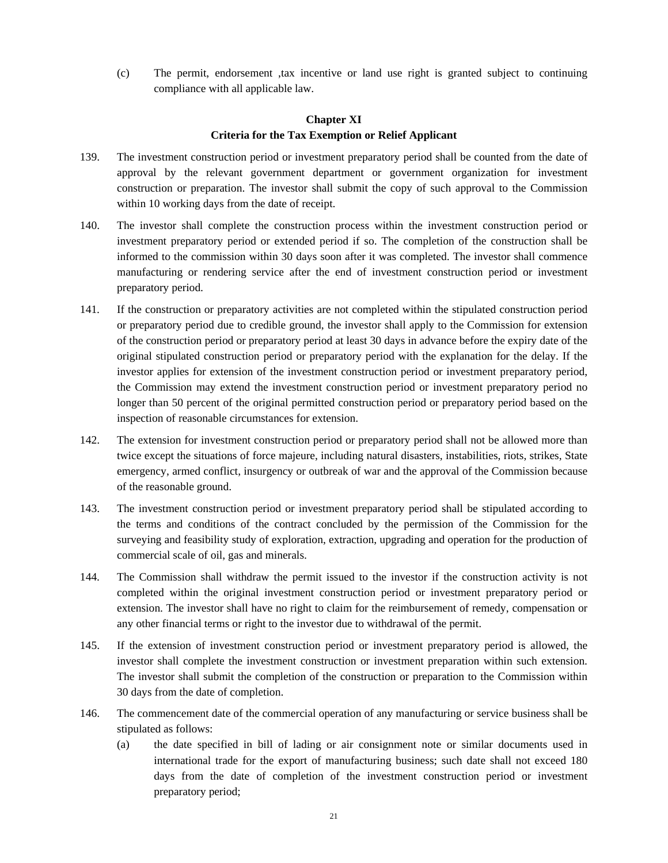(c) The permit, endorsement ,tax incentive or land use right is granted subject to continuing compliance with all applicable law.

# **Chapter XI Criteria for the Tax Exemption or Relief Applicant**

- 139. The investment construction period or investment preparatory period shall be counted from the date of approval by the relevant government department or government organization for investment construction or preparation. The investor shall submit the copy of such approval to the Commission within 10 working days from the date of receipt.
- 140. The investor shall complete the construction process within the investment construction period or investment preparatory period or extended period if so. The completion of the construction shall be informed to the commission within 30 days soon after it was completed. The investor shall commence manufacturing or rendering service after the end of investment construction period or investment preparatory period.
- 141. If the construction or preparatory activities are not completed within the stipulated construction period or preparatory period due to credible ground, the investor shall apply to the Commission for extension of the construction period or preparatory period at least 30 days in advance before the expiry date of the original stipulated construction period or preparatory period with the explanation for the delay. If the investor applies for extension of the investment construction period or investment preparatory period, the Commission may extend the investment construction period or investment preparatory period no longer than 50 percent of the original permitted construction period or preparatory period based on the inspection of reasonable circumstances for extension.
- 142. The extension for investment construction period or preparatory period shall not be allowed more than twice except the situations of force majeure, including natural disasters, instabilities, riots, strikes, State emergency, armed conflict, insurgency or outbreak of war and the approval of the Commission because of the reasonable ground.
- 143. The investment construction period or investment preparatory period shall be stipulated according to the terms and conditions of the contract concluded by the permission of the Commission for the surveying and feasibility study of exploration, extraction, upgrading and operation for the production of commercial scale of oil, gas and minerals.
- 144. The Commission shall withdraw the permit issued to the investor if the construction activity is not completed within the original investment construction period or investment preparatory period or extension. The investor shall have no right to claim for the reimbursement of remedy, compensation or any other financial terms or right to the investor due to withdrawal of the permit.
- 145. If the extension of investment construction period or investment preparatory period is allowed, the investor shall complete the investment construction or investment preparation within such extension. The investor shall submit the completion of the construction or preparation to the Commission within 30 days from the date of completion.
- 146. The commencement date of the commercial operation of any manufacturing or service business shall be stipulated as follows:
	- (a) the date specified in bill of lading or air consignment note or similar documents used in international trade for the export of manufacturing business; such date shall not exceed 180 days from the date of completion of the investment construction period or investment preparatory period;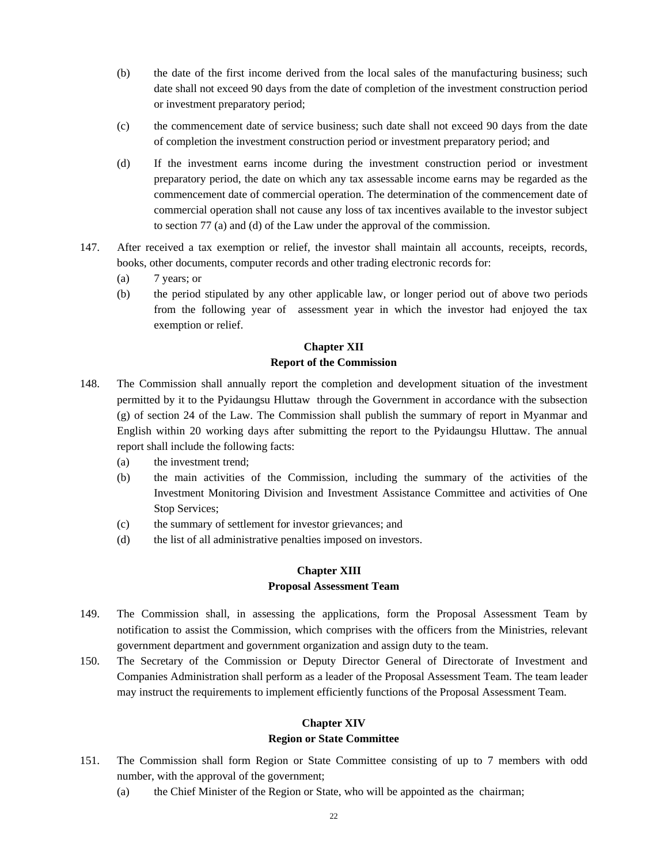- (b) the date of the first income derived from the local sales of the manufacturing business; such date shall not exceed 90 days from the date of completion of the investment construction period or investment preparatory period;
- (c) the commencement date of service business; such date shall not exceed 90 days from the date of completion the investment construction period or investment preparatory period; and
- (d) If the investment earns income during the investment construction period or investment preparatory period, the date on which any tax assessable income earns may be regarded as the commencement date of commercial operation. The determination of the commencement date of commercial operation shall not cause any loss of tax incentives available to the investor subject to section 77 (a) and (d) of the Law under the approval of the commission.
- 147. After received a tax exemption or relief, the investor shall maintain all accounts, receipts, records, books, other documents, computer records and other trading electronic records for:
	- (a) 7 years; or
	- (b) the period stipulated by any other applicable law, or longer period out of above two periods from the following year of assessment year in which the investor had enjoyed the tax exemption or relief.

# **Chapter XII Report of the Commission**

- 148. The Commission shall annually report the completion and development situation of the investment permitted by it to the Pyidaungsu Hluttaw through the Government in accordance with the subsection (g) of section 24 of the Law. The Commission shall publish the summary of report in Myanmar and English within 20 working days after submitting the report to the Pyidaungsu Hluttaw. The annual report shall include the following facts:
	- (a) the investment trend;
	- (b) the main activities of the Commission, including the summary of the activities of the Investment Monitoring Division and Investment Assistance Committee and activities of One Stop Services;
	- (c) the summary of settlement for investor grievances; and
	- (d) the list of all administrative penalties imposed on investors.

# **Chapter XIII Proposal Assessment Team**

- 149. The Commission shall, in assessing the applications, form the Proposal Assessment Team by notification to assist the Commission, which comprises with the officers from the Ministries, relevant government department and government organization and assign duty to the team.
- 150. The Secretary of the Commission or Deputy Director General of Directorate of Investment and Companies Administration shall perform as a leader of the Proposal Assessment Team. The team leader may instruct the requirements to implement efficiently functions of the Proposal Assessment Team.

# **Chapter XIV**

## **Region or State Committee**

- 151. The Commission shall form Region or State Committee consisting of up to 7 members with odd number, with the approval of the government;
	- (a) the Chief Minister of the Region or State, who will be appointed as the chairman;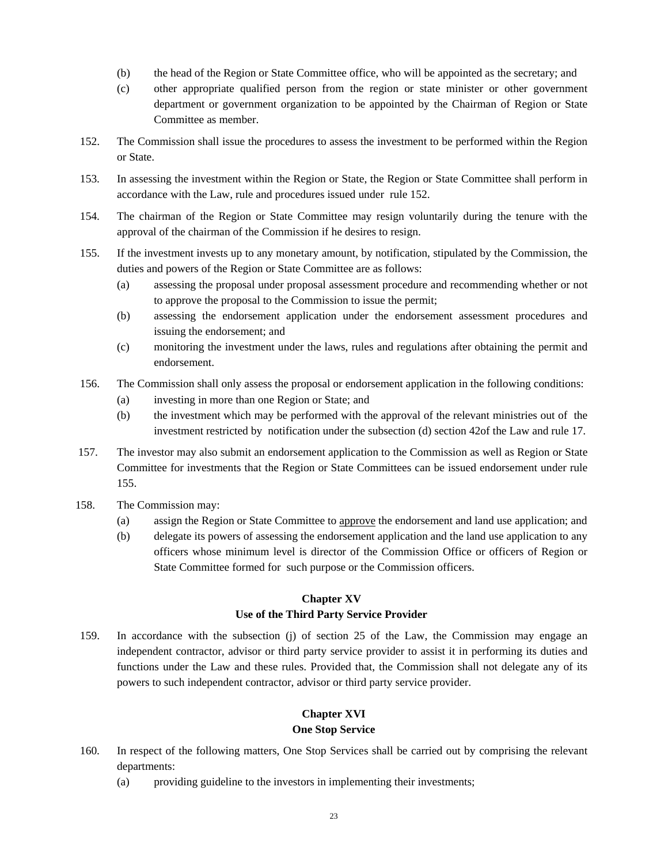- (b) the head of the Region or State Committee office, who will be appointed as the secretary; and
- (c) other appropriate qualified person from the region or state minister or other government department or government organization to be appointed by the Chairman of Region or State Committee as member.
- 152. The Commission shall issue the procedures to assess the investment to be performed within the Region or State.
- 153. In assessing the investment within the Region or State, the Region or State Committee shall perform in accordance with the Law, rule and procedures issued under rule 152.
- 154. The chairman of the Region or State Committee may resign voluntarily during the tenure with the approval of the chairman of the Commission if he desires to resign.
- 155. If the investment invests up to any monetary amount, by notification, stipulated by the Commission, the duties and powers of the Region or State Committee are as follows:
	- (a) assessing the proposal under proposal assessment procedure and recommending whether or not to approve the proposal to the Commission to issue the permit;
	- (b) assessing the endorsement application under the endorsement assessment procedures and issuing the endorsement; and
	- (c) monitoring the investment under the laws, rules and regulations after obtaining the permit and endorsement.
- 156. The Commission shall only assess the proposal or endorsement application in the following conditions:
	- (a) investing in more than one Region or State; and
	- (b) the investment which may be performed with the approval of the relevant ministries out of the investment restricted by notification under the subsection (d) section 42of the Law and rule 17.
- 157. The investor may also submit an endorsement application to the Commission as well as Region or State Committee for investments that the Region or State Committees can be issued endorsement under rule 155.
- 158. The Commission may:
	- (a) assign the Region or State Committee to approve the endorsement and land use application; and
	- (b) delegate its powers of assessing the endorsement application and the land use application to any officers whose minimum level is director of the Commission Office or officers of Region or State Committee formed for such purpose or the Commission officers.

# **Chapter XV**

# **Use of the Third Party Service Provider**

159. In accordance with the subsection (j) of section 25 of the Law, the Commission may engage an independent contractor, advisor or third party service provider to assist it in performing its duties and functions under the Law and these rules. Provided that, the Commission shall not delegate any of its powers to such independent contractor, advisor or third party service provider.

# **Chapter XVI One Stop Service**

- 160. In respect of the following matters, One Stop Services shall be carried out by comprising the relevant departments:
	- (a) providing guideline to the investors in implementing their investments;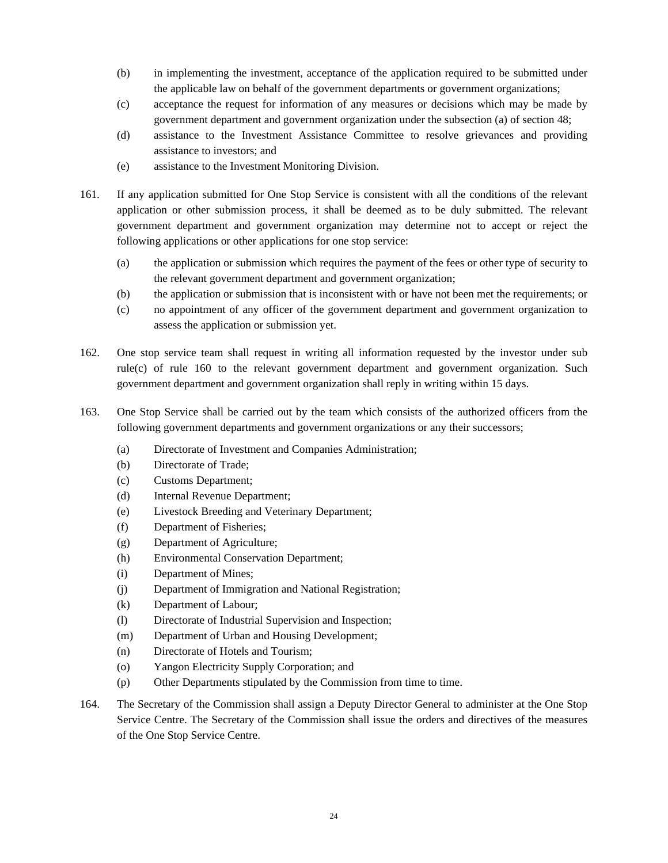- (b) in implementing the investment, acceptance of the application required to be submitted under the applicable law on behalf of the government departments or government organizations;
- (c) acceptance the request for information of any measures or decisions which may be made by government department and government organization under the subsection (a) of section 48;
- (d) assistance to the Investment Assistance Committee to resolve grievances and providing assistance to investors; and
- (e) assistance to the Investment Monitoring Division.
- 161. If any application submitted for One Stop Service is consistent with all the conditions of the relevant application or other submission process, it shall be deemed as to be duly submitted. The relevant government department and government organization may determine not to accept or reject the following applications or other applications for one stop service:
	- (a) the application or submission which requires the payment of the fees or other type of security to the relevant government department and government organization;
	- (b) the application or submission that is inconsistent with or have not been met the requirements; or
	- (c) no appointment of any officer of the government department and government organization to assess the application or submission yet.
- 162. One stop service team shall request in writing all information requested by the investor under sub rule(c) of rule 160 to the relevant government department and government organization. Such government department and government organization shall reply in writing within 15 days.
- 163. One Stop Service shall be carried out by the team which consists of the authorized officers from the following government departments and government organizations or any their successors;
	- (a) Directorate of Investment and Companies Administration;
	- (b) Directorate of Trade;
	- (c) Customs Department;
	- (d) Internal Revenue Department;
	- (e) Livestock Breeding and Veterinary Department;
	- (f) Department of Fisheries;
	- (g) Department of Agriculture;
	- (h) Environmental Conservation Department;
	- (i) Department of Mines;
	- (j) Department of Immigration and National Registration;
	- (k) Department of Labour;
	- (l) Directorate of Industrial Supervision and Inspection;
	- (m) Department of Urban and Housing Development;
	- (n) Directorate of Hotels and Tourism;
	- (o) Yangon Electricity Supply Corporation; and
	- (p) Other Departments stipulated by the Commission from time to time.
- 164. The Secretary of the Commission shall assign a Deputy Director General to administer at the One Stop Service Centre. The Secretary of the Commission shall issue the orders and directives of the measures of the One Stop Service Centre.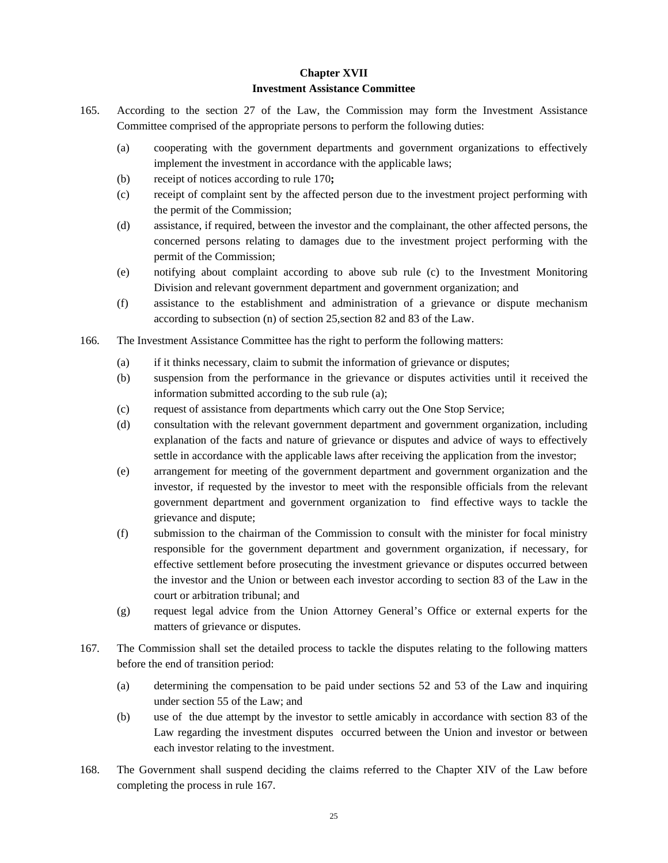#### **Chapter XVII**

## **Investment Assistance Committee**

- 165. According to the section 27 of the Law, the Commission may form the Investment Assistance Committee comprised of the appropriate persons to perform the following duties:
	- (a) cooperating with the government departments and government organizations to effectively implement the investment in accordance with the applicable laws;
	- (b) receipt of notices according to rule 170**;**
	- (c) receipt of complaint sent by the affected person due to the investment project performing with the permit of the Commission;
	- (d) assistance, if required, between the investor and the complainant, the other affected persons, the concerned persons relating to damages due to the investment project performing with the permit of the Commission;
	- (e) notifying about complaint according to above sub rule (c) to the Investment Monitoring Division and relevant government department and government organization; and
	- (f) assistance to the establishment and administration of a grievance or dispute mechanism according to subsection (n) of section 25,section 82 and 83 of the Law.
- 166. The Investment Assistance Committee has the right to perform the following matters:
	- (a) if it thinks necessary, claim to submit the information of grievance or disputes;
	- (b) suspension from the performance in the grievance or disputes activities until it received the information submitted according to the sub rule (a);
	- (c) request of assistance from departments which carry out the One Stop Service;
	- (d) consultation with the relevant government department and government organization, including explanation of the facts and nature of grievance or disputes and advice of ways to effectively settle in accordance with the applicable laws after receiving the application from the investor;
	- (e) arrangement for meeting of the government department and government organization and the investor, if requested by the investor to meet with the responsible officials from the relevant government department and government organization to find effective ways to tackle the grievance and dispute;
	- (f) submission to the chairman of the Commission to consult with the minister for focal ministry responsible for the government department and government organization, if necessary, for effective settlement before prosecuting the investment grievance or disputes occurred between the investor and the Union or between each investor according to section 83 of the Law in the court or arbitration tribunal; and
	- (g) request legal advice from the Union Attorney General's Office or external experts for the matters of grievance or disputes.
- 167. The Commission shall set the detailed process to tackle the disputes relating to the following matters before the end of transition period:
	- (a) determining the compensation to be paid under sections 52 and 53 of the Law and inquiring under section 55 of the Law; and
	- (b) use of the due attempt by the investor to settle amicably in accordance with section 83 of the Law regarding the investment disputes occurred between the Union and investor or between each investor relating to the investment.
- 168. The Government shall suspend deciding the claims referred to the Chapter XIV of the Law before completing the process in rule 167.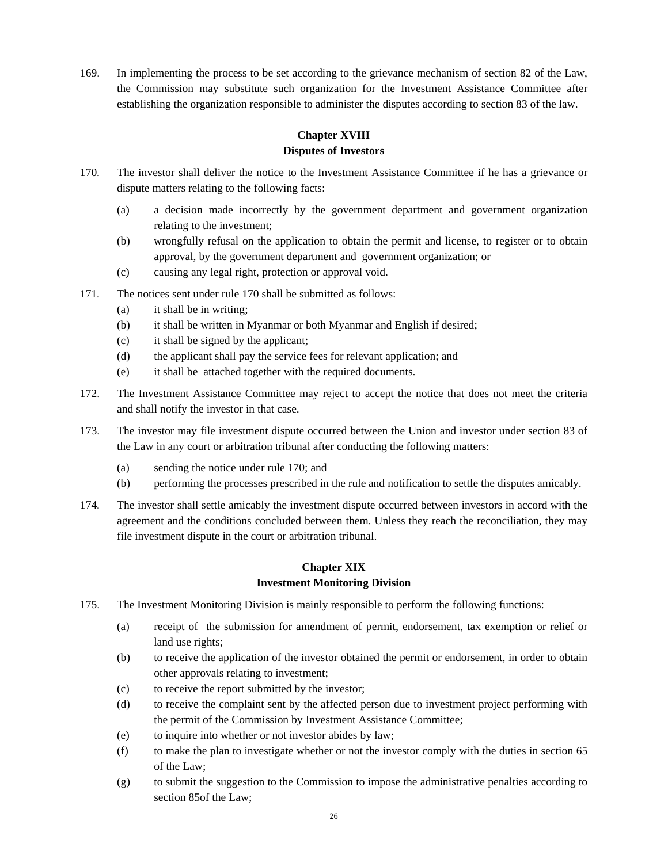169. In implementing the process to be set according to the grievance mechanism of section 82 of the Law, the Commission may substitute such organization for the Investment Assistance Committee after establishing the organization responsible to administer the disputes according to section 83 of the law.

## **Chapter XVIII Disputes of Investors**

- 170. The investor shall deliver the notice to the Investment Assistance Committee if he has a grievance or dispute matters relating to the following facts:
	- (a) a decision made incorrectly by the government department and government organization relating to the investment;
	- (b) wrongfully refusal on the application to obtain the permit and license, to register or to obtain approval, by the government department and government organization; or
	- (c) causing any legal right, protection or approval void.
- 171. The notices sent under rule 170 shall be submitted as follows:
	- (a) it shall be in writing;
	- (b) it shall be written in Myanmar or both Myanmar and English if desired;
	- (c) it shall be signed by the applicant;
	- (d) the applicant shall pay the service fees for relevant application; and
	- (e) it shall be attached together with the required documents.
- 172. The Investment Assistance Committee may reject to accept the notice that does not meet the criteria and shall notify the investor in that case.
- 173. The investor may file investment dispute occurred between the Union and investor under section 83 of the Law in any court or arbitration tribunal after conducting the following matters:
	- (a) sending the notice under rule 170; and
	- (b) performing the processes prescribed in the rule and notification to settle the disputes amicably.
- 174. The investor shall settle amicably the investment dispute occurred between investors in accord with the agreement and the conditions concluded between them. Unless they reach the reconciliation, they may file investment dispute in the court or arbitration tribunal.

# **Chapter XIX Investment Monitoring Division**

- 175. The Investment Monitoring Division is mainly responsible to perform the following functions:
	- (a) receipt of the submission for amendment of permit, endorsement, tax exemption or relief or land use rights;
	- (b) to receive the application of the investor obtained the permit or endorsement, in order to obtain other approvals relating to investment;
	- (c) to receive the report submitted by the investor;
	- (d) to receive the complaint sent by the affected person due to investment project performing with the permit of the Commission by Investment Assistance Committee;
	- (e) to inquire into whether or not investor abides by law;
	- (f) to make the plan to investigate whether or not the investor comply with the duties in section 65 of the Law;
	- (g) to submit the suggestion to the Commission to impose the administrative penalties according to section 85of the Law;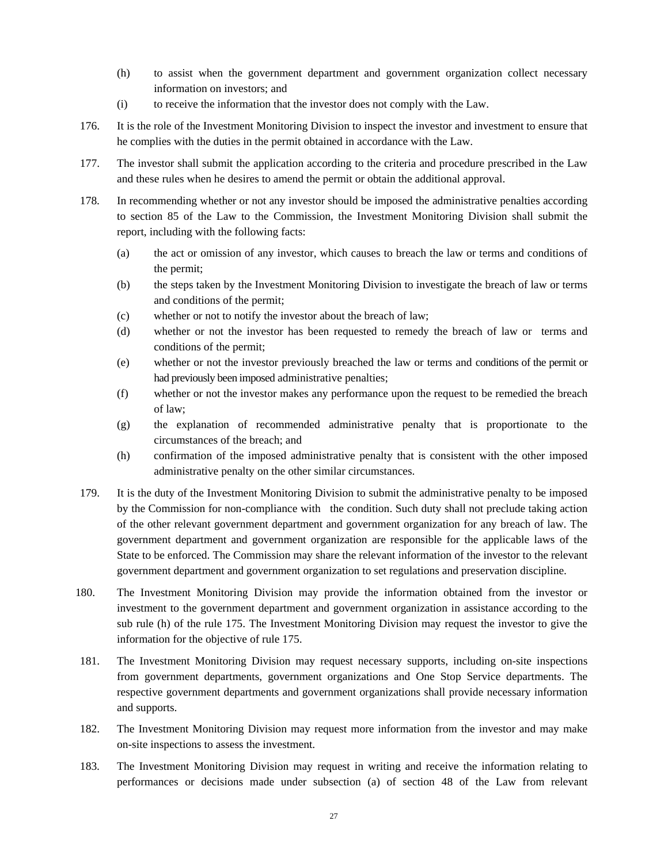- (h) to assist when the government department and government organization collect necessary information on investors; and
- (i) to receive the information that the investor does not comply with the Law.
- 176. It is the role of the Investment Monitoring Division to inspect the investor and investment to ensure that he complies with the duties in the permit obtained in accordance with the Law.
- 177. The investor shall submit the application according to the criteria and procedure prescribed in the Law and these rules when he desires to amend the permit or obtain the additional approval.
- 178. In recommending whether or not any investor should be imposed the administrative penalties according to section 85 of the Law to the Commission, the Investment Monitoring Division shall submit the report, including with the following facts:
	- (a) the act or omission of any investor, which causes to breach the law or terms and conditions of the permit;
	- (b) the steps taken by the Investment Monitoring Division to investigate the breach of law or terms and conditions of the permit;
	- (c) whether or not to notify the investor about the breach of law;
	- (d) whether or not the investor has been requested to remedy the breach of law or terms and conditions of the permit;
	- (e) whether or not the investor previously breached the law or terms and conditions of the permit or had previously been imposed administrative penalties;
	- (f) whether or not the investor makes any performance upon the request to be remedied the breach of law;
	- (g) the explanation of recommended administrative penalty that is proportionate to the circumstances of the breach; and
	- (h) confirmation of the imposed administrative penalty that is consistent with the other imposed administrative penalty on the other similar circumstances.
- 179. It is the duty of the Investment Monitoring Division to submit the administrative penalty to be imposed by the Commission for non-compliance with the condition. Such duty shall not preclude taking action of the other relevant government department and government organization for any breach of law. The government department and government organization are responsible for the applicable laws of the State to be enforced. The Commission may share the relevant information of the investor to the relevant government department and government organization to set regulations and preservation discipline.
- 180. The Investment Monitoring Division may provide the information obtained from the investor or investment to the government department and government organization in assistance according to the sub rule (h) of the rule 175. The Investment Monitoring Division may request the investor to give the information for the objective of rule 175.
- 181. The Investment Monitoring Division may request necessary supports, including on-site inspections from government departments, government organizations and One Stop Service departments. The respective government departments and government organizations shall provide necessary information and supports.
- 182. The Investment Monitoring Division may request more information from the investor and may make on-site inspections to assess the investment.
- 183. The Investment Monitoring Division may request in writing and receive the information relating to performances or decisions made under subsection (a) of section 48 of the Law from relevant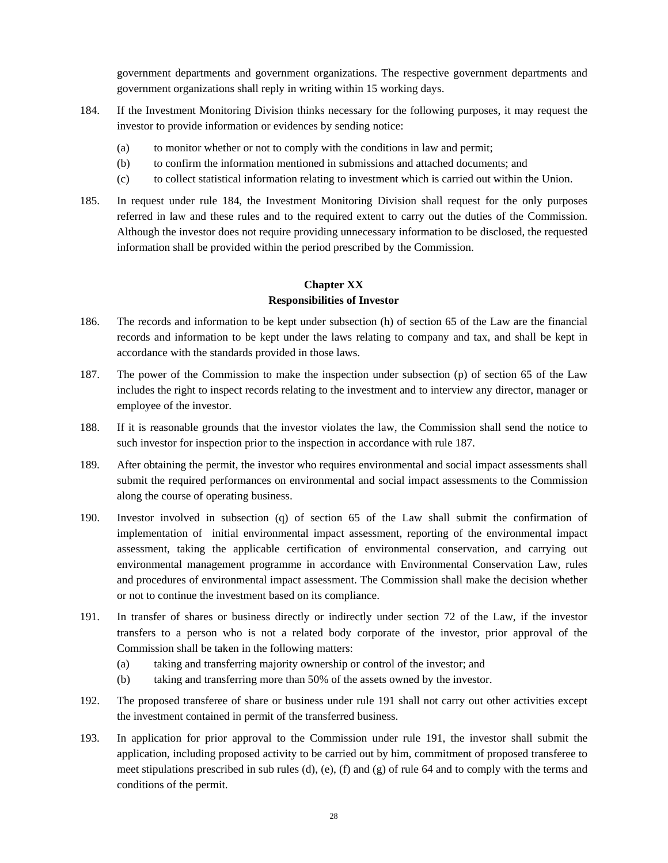government departments and government organizations. The respective government departments and government organizations shall reply in writing within 15 working days.

- 184. If the Investment Monitoring Division thinks necessary for the following purposes, it may request the investor to provide information or evidences by sending notice:
	- (a) to monitor whether or not to comply with the conditions in law and permit;
	- (b) to confirm the information mentioned in submissions and attached documents; and
	- (c) to collect statistical information relating to investment which is carried out within the Union.
- 185. In request under rule 184, the Investment Monitoring Division shall request for the only purposes referred in law and these rules and to the required extent to carry out the duties of the Commission. Although the investor does not require providing unnecessary information to be disclosed, the requested information shall be provided within the period prescribed by the Commission.

## **Chapter XX Responsibilities of Investor**

- 186. The records and information to be kept under subsection (h) of section 65 of the Law are the financial records and information to be kept under the laws relating to company and tax, and shall be kept in accordance with the standards provided in those laws.
- 187. The power of the Commission to make the inspection under subsection (p) of section 65 of the Law includes the right to inspect records relating to the investment and to interview any director, manager or employee of the investor.
- 188. If it is reasonable grounds that the investor violates the law, the Commission shall send the notice to such investor for inspection prior to the inspection in accordance with rule 187.
- 189. After obtaining the permit, the investor who requires environmental and social impact assessments shall submit the required performances on environmental and social impact assessments to the Commission along the course of operating business.
- 190. Investor involved in subsection (q) of section 65 of the Law shall submit the confirmation of implementation of initial environmental impact assessment, reporting of the environmental impact assessment, taking the applicable certification of environmental conservation, and carrying out environmental management programme in accordance with Environmental Conservation Law, rules and procedures of environmental impact assessment. The Commission shall make the decision whether or not to continue the investment based on its compliance.
- 191. In transfer of shares or business directly or indirectly under section 72 of the Law, if the investor transfers to a person who is not a related body corporate of the investor, prior approval of the Commission shall be taken in the following matters:
	- (a) taking and transferring majority ownership or control of the investor; and
	- (b) taking and transferring more than 50% of the assets owned by the investor.
- 192. The proposed transferee of share or business under rule 191 shall not carry out other activities except the investment contained in permit of the transferred business.
- 193. In application for prior approval to the Commission under rule 191, the investor shall submit the application, including proposed activity to be carried out by him, commitment of proposed transferee to meet stipulations prescribed in sub rules  $(d)$ ,  $(e)$ ,  $(f)$  and  $(g)$  of rule 64 and to comply with the terms and conditions of the permit.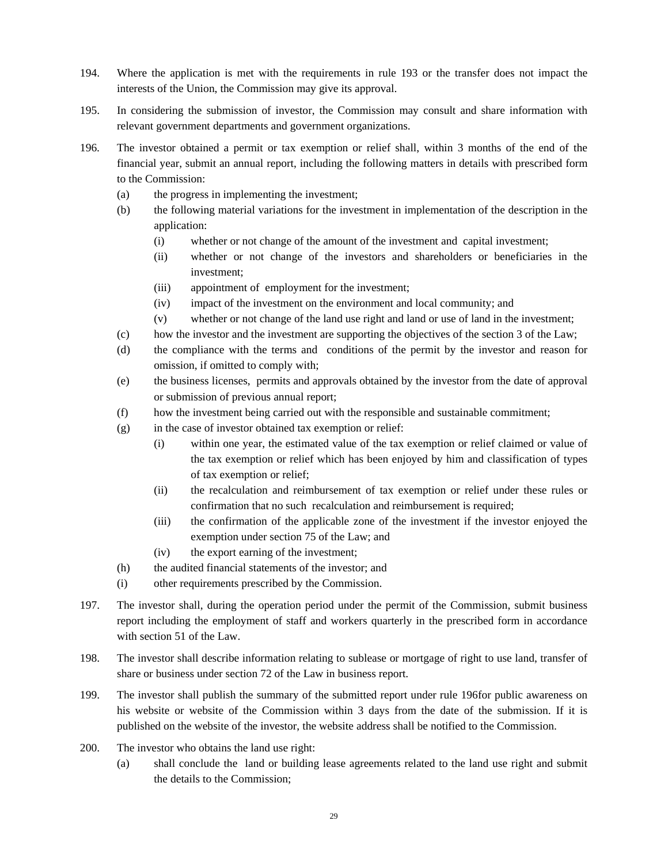- 194. Where the application is met with the requirements in rule 193 or the transfer does not impact the interests of the Union, the Commission may give its approval.
- 195. In considering the submission of investor, the Commission may consult and share information with relevant government departments and government organizations.
- 196. The investor obtained a permit or tax exemption or relief shall, within 3 months of the end of the financial year, submit an annual report, including the following matters in details with prescribed form to the Commission:
	- (a) the progress in implementing the investment;
	- (b) the following material variations for the investment in implementation of the description in the application:
		- (i) whether or not change of the amount of the investment and capital investment;
		- (ii) whether or not change of the investors and shareholders or beneficiaries in the investment;
		- (iii) appointment of employment for the investment;
		- (iv) impact of the investment on the environment and local community; and
		- (v) whether or not change of the land use right and land or use of land in the investment;
	- (c) how the investor and the investment are supporting the objectives of the section 3 of the Law;
	- (d) the compliance with the terms and conditions of the permit by the investor and reason for omission, if omitted to comply with;
	- (e) the business licenses, permits and approvals obtained by the investor from the date of approval or submission of previous annual report;
	- (f) how the investment being carried out with the responsible and sustainable commitment;
	- $(g)$  in the case of investor obtained tax exemption or relief:
		- (i) within one year, the estimated value of the tax exemption or relief claimed or value of the tax exemption or relief which has been enjoyed by him and classification of types of tax exemption or relief;
		- (ii) the recalculation and reimbursement of tax exemption or relief under these rules or confirmation that no such recalculation and reimbursement is required;
		- (iii) the confirmation of the applicable zone of the investment if the investor enjoyed the exemption under section 75 of the Law; and
		- (iv) the export earning of the investment;
	- (h) the audited financial statements of the investor; and
	- (i) other requirements prescribed by the Commission.
- 197. The investor shall, during the operation period under the permit of the Commission, submit business report including the employment of staff and workers quarterly in the prescribed form in accordance with section 51 of the Law.
- 198. The investor shall describe information relating to sublease or mortgage of right to use land, transfer of share or business under section 72 of the Law in business report.
- 199. The investor shall publish the summary of the submitted report under rule 196for public awareness on his website or website of the Commission within 3 days from the date of the submission. If it is published on the website of the investor, the website address shall be notified to the Commission.
- 200. The investor who obtains the land use right:
	- (a) shall conclude the land or building lease agreements related to the land use right and submit the details to the Commission;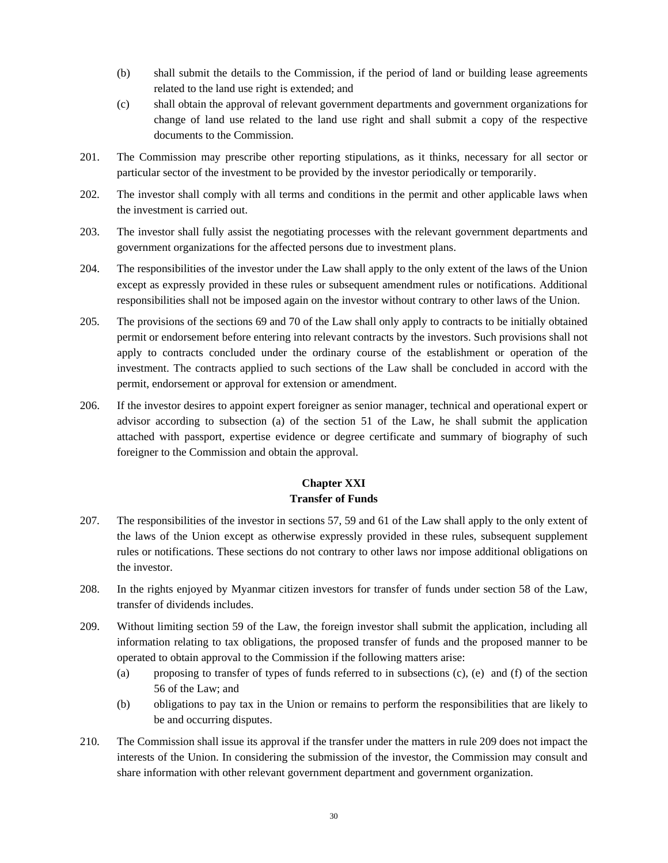- (b) shall submit the details to the Commission, if the period of land or building lease agreements related to the land use right is extended; and
- (c) shall obtain the approval of relevant government departments and government organizations for change of land use related to the land use right and shall submit a copy of the respective documents to the Commission.
- 201. The Commission may prescribe other reporting stipulations, as it thinks, necessary for all sector or particular sector of the investment to be provided by the investor periodically or temporarily.
- 202. The investor shall comply with all terms and conditions in the permit and other applicable laws when the investment is carried out.
- 203. The investor shall fully assist the negotiating processes with the relevant government departments and government organizations for the affected persons due to investment plans.
- 204. The responsibilities of the investor under the Law shall apply to the only extent of the laws of the Union except as expressly provided in these rules or subsequent amendment rules or notifications. Additional responsibilities shall not be imposed again on the investor without contrary to other laws of the Union.
- 205. The provisions of the sections 69 and 70 of the Law shall only apply to contracts to be initially obtained permit or endorsement before entering into relevant contracts by the investors. Such provisions shall not apply to contracts concluded under the ordinary course of the establishment or operation of the investment. The contracts applied to such sections of the Law shall be concluded in accord with the permit, endorsement or approval for extension or amendment.
- 206. If the investor desires to appoint expert foreigner as senior manager, technical and operational expert or advisor according to subsection (a) of the section 51 of the Law, he shall submit the application attached with passport, expertise evidence or degree certificate and summary of biography of such foreigner to the Commission and obtain the approval.

# **Chapter XXI Transfer of Funds**

- 207. The responsibilities of the investor in sections 57, 59 and 61 of the Law shall apply to the only extent of the laws of the Union except as otherwise expressly provided in these rules, subsequent supplement rules or notifications. These sections do not contrary to other laws nor impose additional obligations on the investor.
- 208. In the rights enjoyed by Myanmar citizen investors for transfer of funds under section 58 of the Law, transfer of dividends includes.
- 209. Without limiting section 59 of the Law, the foreign investor shall submit the application, including all information relating to tax obligations, the proposed transfer of funds and the proposed manner to be operated to obtain approval to the Commission if the following matters arise:
	- (a) proposing to transfer of types of funds referred to in subsections (c), (e) and (f) of the section 56 of the Law; and
	- (b) obligations to pay tax in the Union or remains to perform the responsibilities that are likely to be and occurring disputes.
- 210. The Commission shall issue its approval if the transfer under the matters in rule 209 does not impact the interests of the Union. In considering the submission of the investor, the Commission may consult and share information with other relevant government department and government organization.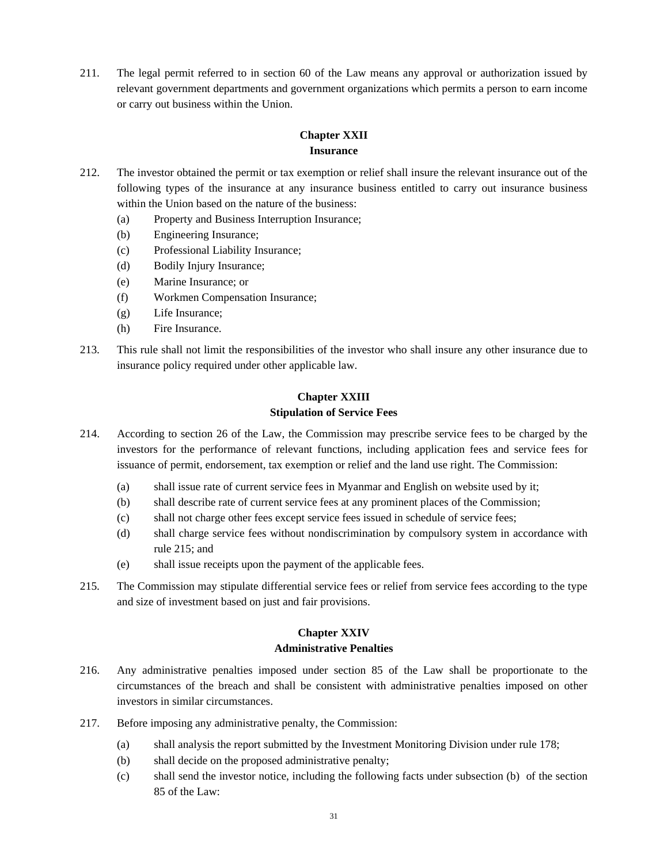211. The legal permit referred to in section 60 of the Law means any approval or authorization issued by relevant government departments and government organizations which permits a person to earn income or carry out business within the Union.

## **Chapter XXII Insurance**

- 212. The investor obtained the permit or tax exemption or relief shall insure the relevant insurance out of the following types of the insurance at any insurance business entitled to carry out insurance business within the Union based on the nature of the business:
	- (a) Property and Business Interruption Insurance;
	- (b) Engineering Insurance;
	- (c) Professional Liability Insurance;
	- (d) Bodily Injury Insurance;
	- (e) Marine Insurance; or
	- (f) Workmen Compensation Insurance;
	- (g) Life Insurance;
	- (h) Fire Insurance.
- 213. This rule shall not limit the responsibilities of the investor who shall insure any other insurance due to insurance policy required under other applicable law.

# **Chapter XXIII Stipulation of Service Fees**

- 214. According to section 26 of the Law, the Commission may prescribe service fees to be charged by the investors for the performance of relevant functions, including application fees and service fees for issuance of permit, endorsement, tax exemption or relief and the land use right. The Commission:
	- (a) shall issue rate of current service fees in Myanmar and English on website used by it;
	- (b) shall describe rate of current service fees at any prominent places of the Commission;
	- (c) shall not charge other fees except service fees issued in schedule of service fees;
	- (d) shall charge service fees without nondiscrimination by compulsory system in accordance with rule 215; and
	- (e) shall issue receipts upon the payment of the applicable fees.
- 215. The Commission may stipulate differential service fees or relief from service fees according to the type and size of investment based on just and fair provisions.

# **Chapter XXIV**

## **Administrative Penalties**

- 216. Any administrative penalties imposed under section 85 of the Law shall be proportionate to the circumstances of the breach and shall be consistent with administrative penalties imposed on other investors in similar circumstances.
- 217. Before imposing any administrative penalty, the Commission:
	- (a) shall analysis the report submitted by the Investment Monitoring Division under rule 178;
	- (b) shall decide on the proposed administrative penalty;
	- (c) shall send the investor notice, including the following facts under subsection (b) of the section 85 of the Law: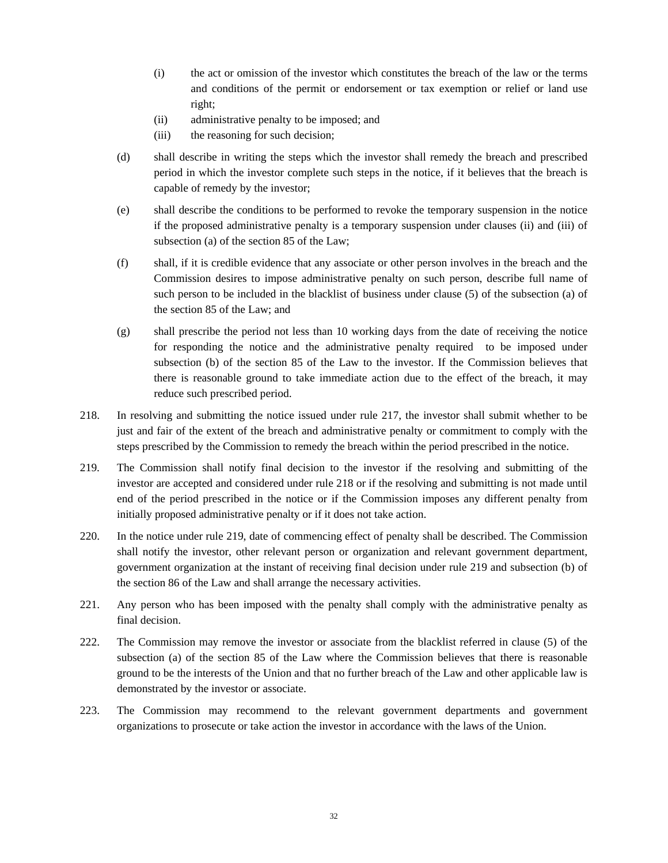- (i) the act or omission of the investor which constitutes the breach of the law or the terms and conditions of the permit or endorsement or tax exemption or relief or land use right;
- (ii) administrative penalty to be imposed; and
- (iii) the reasoning for such decision;
- (d) shall describe in writing the steps which the investor shall remedy the breach and prescribed period in which the investor complete such steps in the notice, if it believes that the breach is capable of remedy by the investor;
- (e) shall describe the conditions to be performed to revoke the temporary suspension in the notice if the proposed administrative penalty is a temporary suspension under clauses (ii) and (iii) of subsection (a) of the section 85 of the Law;
- (f) shall, if it is credible evidence that any associate or other person involves in the breach and the Commission desires to impose administrative penalty on such person, describe full name of such person to be included in the blacklist of business under clause (5) of the subsection (a) of the section 85 of the Law; and
- (g) shall prescribe the period not less than 10 working days from the date of receiving the notice for responding the notice and the administrative penalty required to be imposed under subsection (b) of the section 85 of the Law to the investor. If the Commission believes that there is reasonable ground to take immediate action due to the effect of the breach, it may reduce such prescribed period.
- 218. In resolving and submitting the notice issued under rule 217, the investor shall submit whether to be just and fair of the extent of the breach and administrative penalty or commitment to comply with the steps prescribed by the Commission to remedy the breach within the period prescribed in the notice.
- 219. The Commission shall notify final decision to the investor if the resolving and submitting of the investor are accepted and considered under rule 218 or if the resolving and submitting is not made until end of the period prescribed in the notice or if the Commission imposes any different penalty from initially proposed administrative penalty or if it does not take action.
- 220. In the notice under rule 219, date of commencing effect of penalty shall be described. The Commission shall notify the investor, other relevant person or organization and relevant government department, government organization at the instant of receiving final decision under rule 219 and subsection (b) of the section 86 of the Law and shall arrange the necessary activities.
- 221. Any person who has been imposed with the penalty shall comply with the administrative penalty as final decision.
- 222. The Commission may remove the investor or associate from the blacklist referred in clause (5) of the subsection (a) of the section 85 of the Law where the Commission believes that there is reasonable ground to be the interests of the Union and that no further breach of the Law and other applicable law is demonstrated by the investor or associate.
- 223. The Commission may recommend to the relevant government departments and government organizations to prosecute or take action the investor in accordance with the laws of the Union.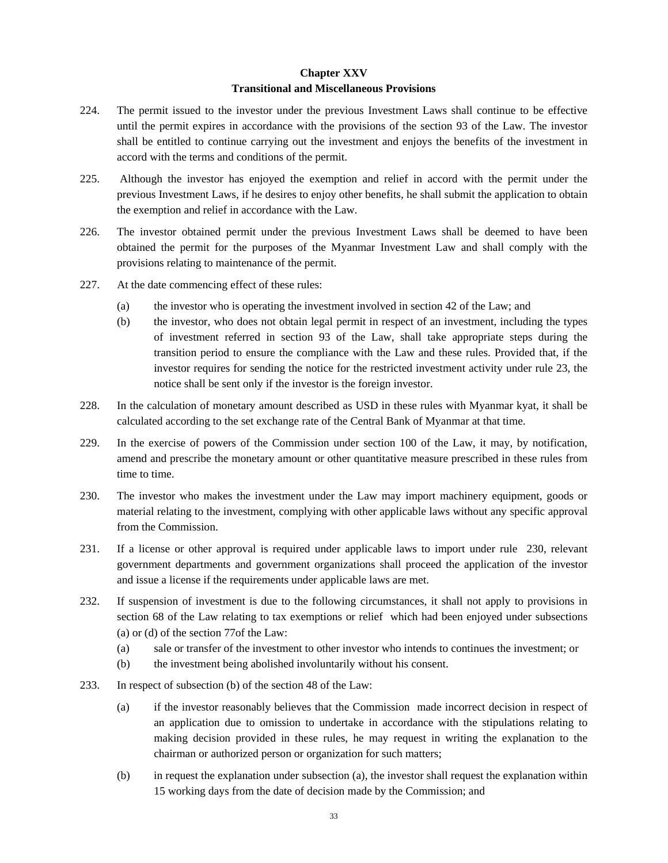# **Chapter XXV Transitional and Miscellaneous Provisions**

- 224. The permit issued to the investor under the previous Investment Laws shall continue to be effective until the permit expires in accordance with the provisions of the section 93 of the Law. The investor shall be entitled to continue carrying out the investment and enjoys the benefits of the investment in accord with the terms and conditions of the permit.
- 225. Although the investor has enjoyed the exemption and relief in accord with the permit under the previous Investment Laws, if he desires to enjoy other benefits, he shall submit the application to obtain the exemption and relief in accordance with the Law.
- 226. The investor obtained permit under the previous Investment Laws shall be deemed to have been obtained the permit for the purposes of the Myanmar Investment Law and shall comply with the provisions relating to maintenance of the permit.
- 227. At the date commencing effect of these rules:
	- (a) the investor who is operating the investment involved in section 42 of the Law; and
	- (b) the investor, who does not obtain legal permit in respect of an investment, including the types of investment referred in section 93 of the Law, shall take appropriate steps during the transition period to ensure the compliance with the Law and these rules. Provided that, if the investor requires for sending the notice for the restricted investment activity under rule 23, the notice shall be sent only if the investor is the foreign investor.
- 228. In the calculation of monetary amount described as USD in these rules with Myanmar kyat, it shall be calculated according to the set exchange rate of the Central Bank of Myanmar at that time.
- 229. In the exercise of powers of the Commission under section 100 of the Law, it may, by notification, amend and prescribe the monetary amount or other quantitative measure prescribed in these rules from time to time.
- 230. The investor who makes the investment under the Law may import machinery equipment, goods or material relating to the investment, complying with other applicable laws without any specific approval from the Commission.
- 231. If a license or other approval is required under applicable laws to import under rule 230, relevant government departments and government organizations shall proceed the application of the investor and issue a license if the requirements under applicable laws are met.
- 232. If suspension of investment is due to the following circumstances, it shall not apply to provisions in section 68 of the Law relating to tax exemptions or relief which had been enjoyed under subsections (a) or (d) of the section 77of the Law:
	- (a) sale or transfer of the investment to other investor who intends to continues the investment; or
	- (b) the investment being abolished involuntarily without his consent.
- 233. In respect of subsection (b) of the section 48 of the Law:
	- (a) if the investor reasonably believes that the Commission made incorrect decision in respect of an application due to omission to undertake in accordance with the stipulations relating to making decision provided in these rules, he may request in writing the explanation to the chairman or authorized person or organization for such matters;
	- (b) in request the explanation under subsection (a), the investor shall request the explanation within 15 working days from the date of decision made by the Commission; and